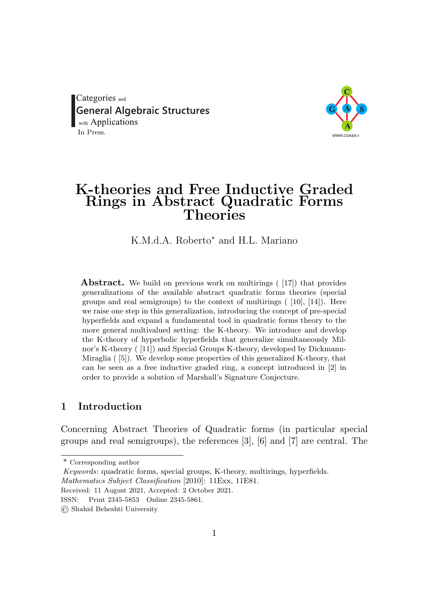<span id="page-0-0"></span>Categories and **General Algebraic Structures**<br>with Applications In Press.



# K-theories and Free Inductive Graded Rings in Abstract Quadratic Forms Theories

K.M.d.A. Roberto<sup>∗</sup> and H.L. Mariano

Abstract. We build on previous work on multirings ([\[17\]](#page-45-0)) that provides generalizations of the available abstract quadratic forms theories (special groups and real semigroups) to the context of multirings ( [\[10\]](#page-45-1), [\[14\]](#page-45-2)). Here we raise one step in this generalization, introducing the concept of pre-special hyperfields and expand a fundamental tool in quadratic forms theory to the more general multivalued setting: the K-theory. We introduce and develop the K-theory of hyperbolic hyperfields that generalize simultaneously Milnor's K-theory ( [\[11\]](#page-45-3)) and Special Groups K-theory, developed by Dickmann-Miraglia ( [\[5\]](#page-44-0)). We develop some properties of this generalized K-theory, that can be seen as a free inductive graded ring, a concept introduced in [\[2\]](#page-44-1) in order to provide a solution of Marshall's Signature Conjecture.

# 1 Introduction

Concerning Abstract Theories of Quadratic forms (in particular special groups and real semigroups), the references [\[3\]](#page-44-2), [\[6\]](#page-44-3) and [\[7\]](#page-44-4) are central. The

<sup>\*</sup> Corresponding author

Keywords: quadratic forms, special groups, K-theory, multirings, hyperfields.

Mathematics Subject Classification [2010]: 11Exx, 11E81.

Received: 11 August 2021, Accepted: 2 October 2021.

ISSN: Print 2345-5853 Online 2345-5861.

<sup>©</sup> Shahid Beheshti University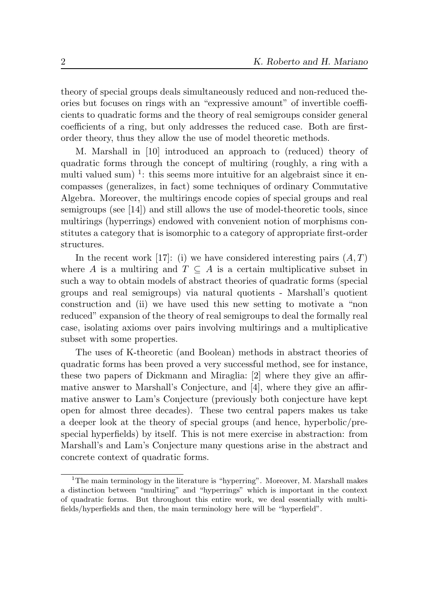theory of special groups deals simultaneously reduced and non-reduced theories but focuses on rings with an "expressive amount" of invertible coefficients to quadratic forms and the theory of real semigroups consider general coefficients of a ring, but only addresses the reduced case. Both are firstorder theory, thus they allow the use of model theoretic methods.

M. Marshall in [\[10\]](#page-45-1) introduced an approach to (reduced) theory of quadratic forms through the concept of multiring (roughly, a ring with a multi valued sum)<sup>[1](#page-0-0)</sup>: this seems more intuitive for an algebraist since it encompasses (generalizes, in fact) some techniques of ordinary Commutative Algebra. Moreover, the multirings encode copies of special groups and real semigroups (see [\[14\]](#page-45-2)) and still allows the use of model-theoretic tools, since multirings (hyperrings) endowed with convenient notion of morphisms constitutes a category that is isomorphic to a category of appropriate first-order structures.

In the recent work [\[17\]](#page-45-0): (i) we have considered interesting pairs  $(A, T)$ where A is a multiring and  $T \subseteq A$  is a certain multiplicative subset in such a way to obtain models of abstract theories of quadratic forms (special groups and real semigroups) via natural quotients - Marshall's quotient construction and (ii) we have used this new setting to motivate a "non reduced" expansion of the theory of real semigroups to deal the formally real case, isolating axioms over pairs involving multirings and a multiplicative subset with some properties.

The uses of K-theoretic (and Boolean) methods in abstract theories of quadratic forms has been proved a very successful method, see for instance, these two papers of Dickmann and Miraglia: [\[2\]](#page-44-1) where they give an affirmative answer to Marshall's Conjecture, and [\[4\]](#page-44-5), where they give an affirmative answer to Lam's Conjecture (previously both conjecture have kept open for almost three decades). These two central papers makes us take a deeper look at the theory of special groups (and hence, hyperbolic/prespecial hyperfields) by itself. This is not mere exercise in abstraction: from Marshall's and Lam's Conjecture many questions arise in the abstract and concrete context of quadratic forms.

<sup>&</sup>lt;sup>1</sup>The main terminology in the literature is "hyperring". Moreover, M. Marshall makes a distinction between "multiring" and "hyperrings" which is important in the context of quadratic forms. But throughout this entire work, we deal essentially with multifields/hyperfields and then, the main terminology here will be "hyperfield".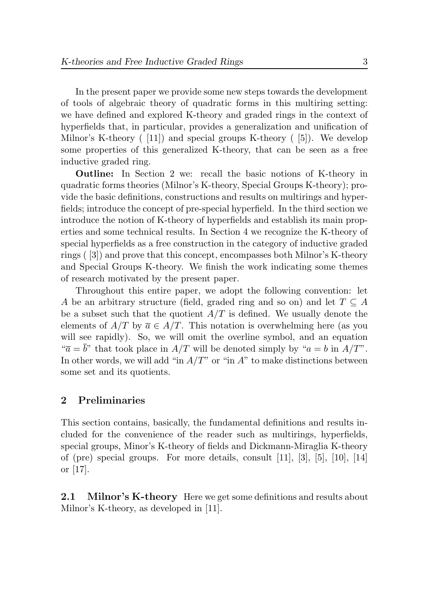In the present paper we provide some new steps towards the development of tools of algebraic theory of quadratic forms in this multiring setting: we have defined and explored K-theory and graded rings in the context of hyperfields that, in particular, provides a generalization and unification of Milnor's K-theory ( [\[11\]](#page-45-3)) and special groups K-theory ( [\[5\]](#page-44-0)). We develop some properties of this generalized K-theory, that can be seen as a free inductive graded ring.

Outline: In Section 2 we: recall the basic notions of K-theory in quadratic forms theories (Milnor's K-theory, Special Groups K-theory); provide the basic definitions, constructions and results on multirings and hyperfields; introduce the concept of pre-special hyperfield. In the third section we introduce the notion of K-theory of hyperfields and establish its main properties and some technical results. In Section 4 we recognize the K-theory of special hyperfields as a free construction in the category of inductive graded rings ( [\[3\]](#page-44-2)) and prove that this concept, encompasses both Milnor's K-theory and Special Groups K-theory. We finish the work indicating some themes of research motivated by the present paper.

Throughout this entire paper, we adopt the following convention: let A be an arbitrary structure (field, graded ring and so on) and let  $T \subseteq A$ be a subset such that the quotient  $A/T$  is defined. We usually denote the elements of  $A/T$  by  $\overline{a} \in A/T$ . This notation is overwhelming here (as you will see rapidly). So, we will omit the overline symbol, and an equation " $\overline{a} = \overline{b}$ " that took place in  $A/T$  will be denoted simply by " $a = b$  in  $A/T$ ". In other words, we will add "in  $A/T$ " or "in  $A$ " to make distinctions between some set and its quotients.

# 2 Preliminaries

This section contains, basically, the fundamental definitions and results included for the convenience of the reader such as multirings, hyperfields, special groups, Minor's K-theory of fields and Dickmann-Miraglia K-theory of (pre) special groups. For more details, consult  $[11]$ ,  $[3]$ ,  $[5]$ ,  $[10]$ ,  $[14]$ or [\[17\]](#page-45-0).

<span id="page-2-0"></span>**2.1** Milnor's K-theory Here we get some definitions and results about Milnor's K-theory, as developed in [\[11\]](#page-45-3).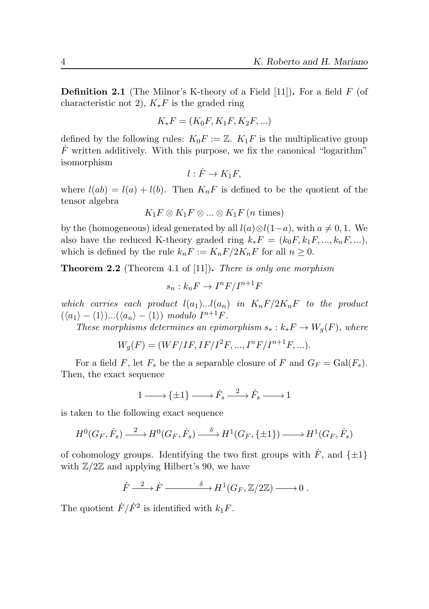**Definition 2.1** (The Milnor's K-theory of a Field  $[11]$ ). For a field F (of characteristic not 2),  $K_*F$  is the graded ring

$$
K_*F = (K_0F, K_1F, K_2F, \ldots)
$$

defined by the following rules:  $K_0F := \mathbb{Z}$ .  $K_1F$  is the multiplicative group  $\dot{F}$  written additively. With this purpose, we fix the canonical "logarithm" isomorphism

$$
l: \dot{F} \to K_1F,
$$

where  $l(ab) = l(a) + l(b)$ . Then  $K_nF$  is defined to be the quotient of the tensor algebra

$$
K_1F\otimes K_1F\otimes...\otimes K_1F\ (n \text{ times})
$$

by the (homogeneous) ideal generated by all  $l(a) \otimes l(1-a)$ , with  $a \neq 0, 1$ . We also have the reduced K-theory graded ring  $k_*F = (k_0F, k_1F, ..., k_nF, ...)$ , which is defined by the rule  $k_nF := K_nF/2K_nF$  for all  $n \geq 0$ .

Theorem 2.2 (Theorem 4.1 of [\[11\]](#page-45-3)). There is only one morphism

$$
s_n : k_n F \to I^n F / I^{n+1} F
$$

which carries each product  $l(a_1)...l(a_n)$  in  $K_nF/2K_nF$  to the product  $(\langle a_1 \rangle - \langle 1 \rangle) ... (\langle a_n \rangle - \langle 1 \rangle) \text{ modulo } I^{n+1}F.$ 

These morphisms determines an epimorphism  $s_* : k_*F \to W_q(F)$ , where

$$
W_g(F) = (WF/IF, IF/I^2F, ..., I^nF/I^{n+1}F, ...).
$$

For a field F, let  $F_s$  be the a separable closure of F and  $G_F = \text{Gal}(F_s)$ . Then, the exact sequence

$$
1 \longrightarrow {\pm 1} \longrightarrow \dot{F}_s \stackrel{2}{\longrightarrow} \dot{F}_s \longrightarrow 1
$$

is taken to the following exact sequence

$$
H^0(G_F, \dot{F}_s) \xrightarrow{2} H^0(G_F, \dot{F}_s) \xrightarrow{\delta} H^1(G_F, \{\pm 1\}) \longrightarrow H^1(G_F, \dot{F}_s)
$$

of cohomology groups. Identifying the two first groups with  $\dot{F}$ , and  $\{\pm 1\}$ with  $\mathbb{Z}/2\mathbb{Z}$  and applying Hilbert's 90, we have

$$
\dot{F} \xrightarrow{2} \dot{F} \xrightarrow{\delta} H^1(G_F, \mathbb{Z}/2\mathbb{Z}) \longrightarrow 0.
$$

The quotient  $\dot{F}/\dot{F}^2$  is identified with  $k_1F$ .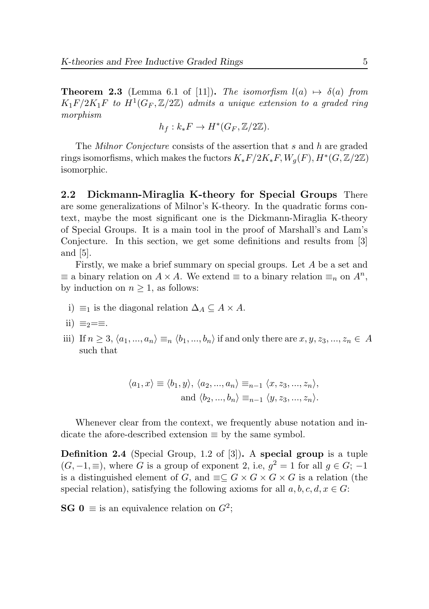**Theorem 2.3** (Lemma 6.1 of [\[11\]](#page-45-3)). The isomorfism  $l(a) \mapsto \delta(a)$  from  $K_1F/2K_1F$  to  $H^1(G_F,\mathbb{Z}/2\mathbb{Z})$  admits a unique extension to a graded ring morphism

$$
h_f: k_*F \to H^*(G_F, \mathbb{Z}/2\mathbb{Z}).
$$

The Milnor Conjecture consists of the assertion that s and h are graded rings isomorfisms, which makes the fuctors  $K_*F/2K_*F$ ,  $W_g(F)$ ,  $H^*(G,\mathbb{Z}/2\mathbb{Z})$ isomorphic.

2.2 Dickmann-Miraglia K-theory for Special Groups There are some generalizations of Milnor's K-theory. In the quadratic forms context, maybe the most significant one is the Dickmann-Miraglia K-theory of Special Groups. It is a main tool in the proof of Marshall's and Lam's Conjecture. In this section, we get some definitions and results from [\[3\]](#page-44-2) and [\[5\]](#page-44-0).

Firstly, we make a brief summary on special groups. Let A be a set and  $\equiv$  a binary relation on  $A \times A$ . We extend  $\equiv$  to a binary relation  $\equiv_n$  on  $A^n$ , by induction on  $n \geq 1$ , as follows:

i)  $\equiv$ <sub>1</sub> is the diagonal relation  $\Delta$ <sub>A</sub> ⊆ A × A.

ii) 
$$
\equiv_2 = \equiv
$$
.

iii) If  $n \geq 3, \langle a_1, ..., a_n \rangle \equiv_n \langle b_1, ..., b_n \rangle$  if and only there are  $x, y, z_3, ..., z_n \in A$ such that

$$
\langle a_1, x \rangle \equiv \langle b_1, y \rangle, \langle a_2, ..., a_n \rangle \equiv_{n-1} \langle x, z_3, ..., z_n \rangle,
$$
  
and  $\langle b_2, ..., b_n \rangle \equiv_{n-1} \langle y, z_3, ..., z_n \rangle.$ 

Whenever clear from the context, we frequently abuse notation and indicate the afore-described extension  $\equiv$  by the same symbol.

Definition 2.4 (Special Group, 1.2 of [\[3\]](#page-44-2)). A special group is a tuple  $(G, -1, \equiv)$ , where G is a group of exponent 2, i.e,  $g^2 = 1$  for all  $g \in G$ ; -1 is a distinguished element of G, and  $\equiv\subseteq G\times G\times G\times G$  is a relation (the special relation), satisfying the following axioms for all  $a, b, c, d, x \in G$ :

**SG**  $0 \equiv$  is an equivalence relation on  $G^2$ ;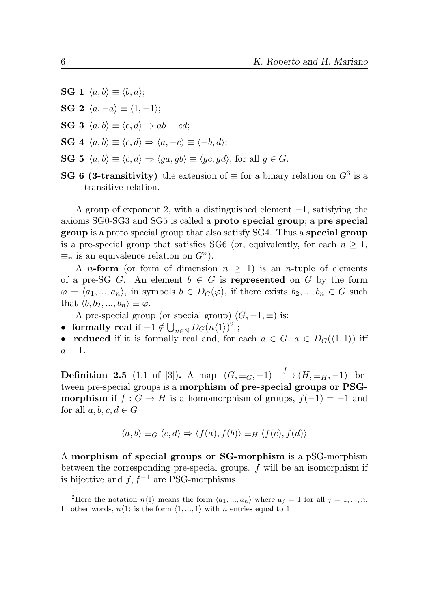- SG 1  $\langle a, b \rangle \equiv \langle b, a \rangle$ ;
- SG 2  $\langle a, -a \rangle \equiv \langle 1, -1 \rangle;$
- SG 3  $\langle a, b \rangle \equiv \langle c, d \rangle \Rightarrow ab = cd;$
- SG 4  $\langle a, b \rangle \equiv \langle c, d \rangle \Rightarrow \langle a, -c \rangle \equiv \langle -b, d \rangle;$
- SG 5  $\langle a, b \rangle \equiv \langle c, d \rangle \Rightarrow \langle qa, gb \rangle \equiv \langle qc, gd \rangle$ , for all  $q \in G$ .
- **SG 6 (3-transitivity)** the extension of  $\equiv$  for a binary relation on  $G^3$  is a transitive relation.

A group of exponent 2, with a distinguished element −1, satisfying the axioms SG0-SG3 and SG5 is called a proto special group; a pre special group is a proto special group that also satisfy SG4. Thus a special group is a pre-special group that satisfies SG6 (or, equivalently, for each  $n \geq 1$ ,  $\equiv_n$  is an equivalence relation on  $G^n$ ).

A *n*-form (or form of dimension  $n > 1$ ) is an *n*-tuple of elements of a pre-SG G. An element  $b \in G$  is represented on G by the form  $\varphi = \langle a_1, ..., a_n \rangle$ , in symbols  $b \in D_G(\varphi)$ , if there exists  $b_2, ..., b_n \in G$  such that  $\langle b, b_2, ..., b_n \rangle \equiv \varphi$ .

A pre-special group (or special group)  $(G, -1, \equiv)$  is:

• formally real if  $-1 \notin \bigcup_{n \in \mathbb{N}} D_G(n\langle 1 \rangle)^2$  $-1 \notin \bigcup_{n \in \mathbb{N}} D_G(n\langle 1 \rangle)^2$ ;

• reduced if it is formally real and, for each  $a \in G$ ,  $a \in D_G(\langle 1, 1 \rangle)$  iff  $a=1$ .

**Definition 2.5** (1.1 of [\[3\]](#page-44-2)). A map  $(G, \equiv_G, -1) \xrightarrow{f} (H, \equiv_H, -1)$  between pre-special groups is a morphism of pre-special groups or PSG**morphism** if  $f : G \to H$  is a homomorphism of groups,  $f(-1) = -1$  and for all  $a, b, c, d \in G$ 

$$
\langle a, b \rangle \equiv_G \langle c, d \rangle \Rightarrow \langle f(a), f(b) \rangle \equiv_H \langle f(c), f(d) \rangle
$$

A morphism of special groups or SG-morphism is a pSG-morphism between the corresponding pre-special groups. f will be an isomorphism if is bijective and  $f, f^{-1}$  are PSG-morphisms.

<sup>&</sup>lt;sup>2</sup>Here the notation  $n\langle 1 \rangle$  means the form  $\langle a_1, ..., a_n \rangle$  where  $a_j = 1$  for all  $j = 1, ..., n$ . In other words,  $n\langle 1\rangle$  is the form  $\langle 1,...,1\rangle$  with  $n$  entries equal to 1.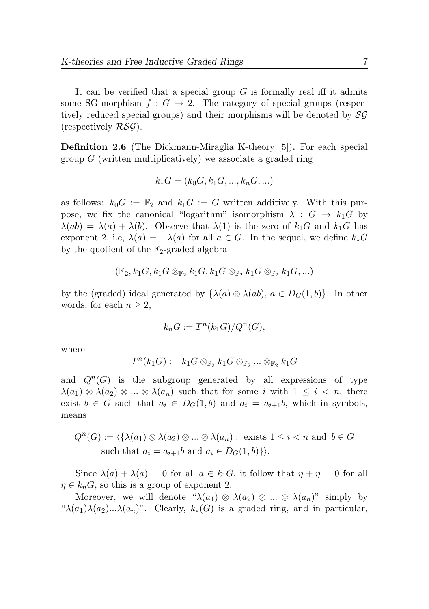It can be verified that a special group  $G$  is formally real iff it admits some SG-morphism  $f : G \to 2$ . The category of special groups (respectively reduced special groups) and their morphisms will be denoted by SG (respectively  $\mathcal{RSG}$ ).

<span id="page-6-0"></span>Definition 2.6 (The Dickmann-Miraglia K-theory [\[5\]](#page-44-0)). For each special group  $G$  (written multiplicatively) we associate a graded ring

$$
k_* G = (k_0 G, k_1 G, ..., k_n G, ...)
$$

as follows:  $k_0G := \mathbb{F}_2$  and  $k_1G := G$  written additively. With this purpose, we fix the canonical "logarithm" isomorphism  $\lambda : G \to k_1 G$  by  $\lambda(ab) = \lambda(a) + \lambda(b)$ . Observe that  $\lambda(1)$  is the zero of  $k_1G$  and  $k_1G$  has exponent 2, i.e,  $\lambda(a) = -\lambda(a)$  for all  $a \in G$ . In the sequel, we define  $k_*G$ by the quotient of the  $\mathbb{F}_2$ -graded algebra

$$
(\mathbb{F}_2, k_1G, k_1G \otimes_{\mathbb{F}_2} k_1G, k_1G \otimes_{\mathbb{F}_2} k_1G \otimes_{\mathbb{F}_2} k_1G, \ldots)
$$

by the (graded) ideal generated by  $\{\lambda(a) \otimes \lambda(ab), a \in D_G(1,b)\}\$ . In other words, for each  $n \geq 2$ ,

$$
k_n G := T^n(k_1 G)/Q^n(G),
$$

where

$$
T^n(k_1G):=k_1G\otimes_{\mathbb{F}_2}k_1G\otimes_{\mathbb{F}_2}...\otimes_{\mathbb{F}_2}k_1G
$$

and  $Q^{n}(G)$  is the subgroup generated by all expressions of type  $\lambda(a_1) \otimes \lambda(a_2) \otimes ... \otimes \lambda(a_n)$  such that for some i with  $1 \leq i \leq n$ , there exist  $b \in G$  such that  $a_i \in D_G(1,b)$  and  $a_i = a_{i+1}b$ , which in symbols, means

$$
Q^{n}(G) := \{ \{ \lambda(a_1) \otimes \lambda(a_2) \otimes \ldots \otimes \lambda(a_n) : \text{ exists } 1 \le i < n \text{ and } b \in G \text{ such that } a_i = a_{i+1}b \text{ and } a_i \in D_G(1, b) \} \}.
$$

Since  $\lambda(a) + \lambda(a) = 0$  for all  $a \in k_1 G$ , it follow that  $\eta + \eta = 0$  for all  $\eta \in k_n G$ , so this is a group of exponent 2.

Moreover, we will denote " $\lambda(a_1) \otimes \lambda(a_2) \otimes ... \otimes \lambda(a_n)$ " simply by " $\lambda(a_1)\lambda(a_2)...\lambda(a_n)$ ". Clearly,  $k_*(G)$  is a graded ring, and in particular,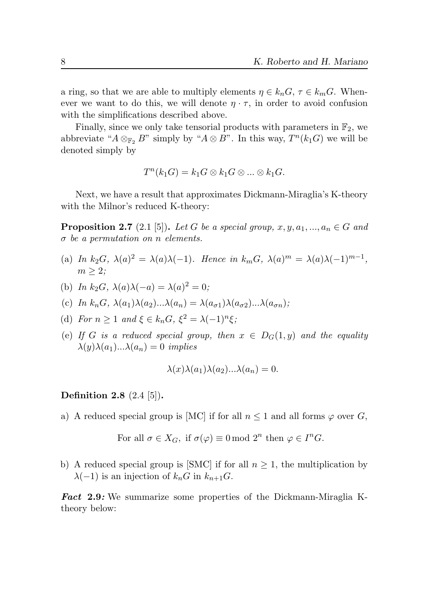a ring, so that we are able to multiply elements  $\eta \in k_n G$ ,  $\tau \in k_m G$ . Whenever we want to do this, we will denote  $\eta \cdot \tau$ , in order to avoid confusion with the simplifications described above.

Finally, since we only take tensorial products with parameters in  $\mathbb{F}_2$ , we abbreviate " $A \otimes_{\mathbb{F}_2} B$ " simply by " $A \otimes B$ ". In this way,  $T^n(k_1 G)$  we will be denoted simply by

$$
T^n(k_1G) = k_1G \otimes k_1G \otimes \ldots \otimes k_1G.
$$

Next, we have a result that approximates Dickmann-Miraglia's K-theory with the Milnor's reduced K-theory:

**Proposition 2.7** (2.1 [\[5\]](#page-44-0)). Let G be a special group,  $x, y, a_1, ..., a_n \in G$  and  $\sigma$  be a permutation on n elements.

- (a) In  $k_2G$ ,  $\lambda(a)^2 = \lambda(a)\lambda(-1)$ . Hence in  $k_mG$ ,  $\lambda(a)^m = \lambda(a)\lambda(-1)^{m-1}$ ,  $m \geq 2$ ;
- (b) In  $k_2G$ ,  $\lambda(a)\lambda(-a) = \lambda(a)^2 = 0$ ;
- (c) In  $k_nG$ ,  $\lambda(a_1)\lambda(a_2)... \lambda(a_n) = \lambda(a_{\sigma 1})\lambda(a_{\sigma 2})...\lambda(a_{\sigma n});$
- (d) For  $n \geq 1$  and  $\xi \in k_n G$ ,  $\xi^2 = \lambda (-1)^n \xi$ ;
- (e) If G is a reduced special group, then  $x \in D_G(1, y)$  and the equality  $\lambda(y)\lambda(a_1)... \lambda(a_n) = 0$  implies

$$
\lambda(x)\lambda(a_1)\lambda(a_2)... \lambda(a_n) = 0.
$$

# Definition 2.8 (2.4 [\[5\]](#page-44-0)).

a) A reduced special group is [MC] if for all  $n \leq 1$  and all forms  $\varphi$  over G,

For all 
$$
\sigma \in X_G
$$
, if  $\sigma(\varphi) \equiv 0 \mod 2^n$  then  $\varphi \in I^n G$ .

b) A reduced special group is [SMC] if for all  $n \geq 1$ , the multiplication by  $\lambda(-1)$  is an injection of  $k_nG$  in  $k_{n+1}G$ .

Fact 2.9: We summarize some properties of the Dickmann-Miraglia Ktheory below: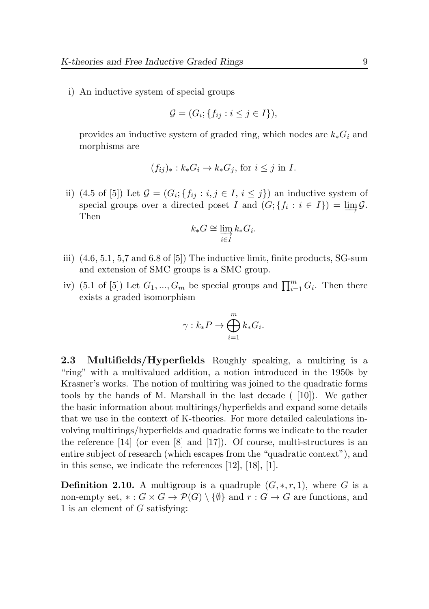i) An inductive system of special groups

$$
\mathcal{G} = (G_i; \{f_{ij} : i \le j \in I\}),
$$

provides an inductive system of graded ring, which nodes are  $k_*G_i$  and morphisms are

$$
(f_{ij})_* : k_*G_i \to k_*G_j
$$
, for  $i \leq j$  in *I*.

ii) (4.5 of [\[5\]](#page-44-0)) Let  $\mathcal{G} = (G_i; \{f_{ij} : i, j \in I, i \leq j\})$  an inductive system of special groups over a directed poset I and  $(G; \{f_i : i \in I\}) = \varinjlim \mathcal{G}.$ Then

$$
k_*G \cong \varinjlim_{i \in I} k_*G_i.
$$

- iii) (4.6, 5.1, 5,7 and 6.8 of [\[5\]](#page-44-0)) The inductive limit, finite products, SG-sum and extension of SMC groups is a SMC group.
- iv) (5.1 of [\[5\]](#page-44-0)) Let  $G_1, ..., G_m$  be special groups and  $\prod_{i=1}^m G_i$ . Then there exists a graded isomorphism

$$
\gamma: k_*P \to \bigoplus_{i=1}^m k_*G_i.
$$

2.3 Multifields/Hyperfields Roughly speaking, a multiring is a "ring" with a multivalued addition, a notion introduced in the 1950s by Krasner's works. The notion of multiring was joined to the quadratic forms tools by the hands of M. Marshall in the last decade  $(10)$ . We gather the basic information about multirings/hyperfields and expand some details that we use in the context of K-theories. For more detailed calculations involving multirings/hyperfields and quadratic forms we indicate to the reader the reference [\[14\]](#page-45-2) (or even [\[8\]](#page-45-4) and [\[17\]](#page-45-0)). Of course, multi-structures is an entire subject of research (which escapes from the "quadratic context"), and in this sense, we indicate the references [\[12\]](#page-45-5), [\[18\]](#page-45-6), [\[1\]](#page-44-6).

**Definition 2.10.** A multigroup is a quadruple  $(G, \ast, r, 1)$ , where G is a non-empty set,  $\ast: G \times G \to \mathcal{P}(G) \setminus \{\emptyset\}$  and  $r: G \to G$  are functions, and 1 is an element of  $G$  satisfying: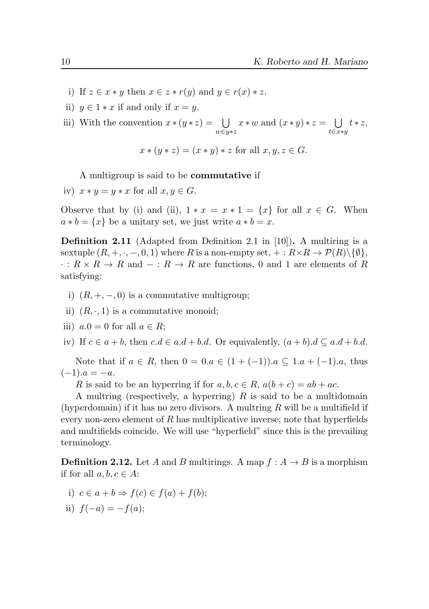- i) If  $z \in x * y$  then  $x \in z * r(y)$  and  $y \in r(x) * z$ .
- ii)  $y \in 1 * x$  if and only if  $x = y$ .

iii) With the convention  $x \cdot (y \cdot z) = \bigcup$ w∈y∗z  $x * w$  and  $(x * y) * z = \bigcup$ t∈x∗y  $t \times z$ ,

$$
x * (y * z) = (x * y) * z \text{ for all } x, y, z \in G.
$$

A multigroup is said to be commutative if

iv)  $x * y = y * x$  for all  $x, y \in G$ .

Observe that by (i) and (ii),  $1 * x = x * 1 = \{x\}$  for all  $x \in G$ . When  $a * b = \{x\}$  be a unitary set, we just write  $a * b = x$ .

<span id="page-9-0"></span>**Definition 2.11** (Adapted from Definition 2.1 in [\[10\]](#page-45-1)). A multiring is a sextuple  $(R, +, \cdot, -, 0, 1)$  where R is a non-empty set,  $+: R \times R \to \mathcal{P}(R) \setminus \{\emptyset\},\$  $\cdot: R \times R \to R$  and  $-: R \to R$  are functions, 0 and 1 are elements of R satisfying:

- i)  $(R, +, -, 0)$  is a commutative multigroup;
- ii)  $(R, \cdot, 1)$  is a commutative monoid;
- iii)  $a.0 = 0$  for all  $a \in R$ ;

iv) If  $c \in a + b$ , then  $c.d \in a.d + b.d$ . Or equivalently,  $(a + b).d \subseteq a.d + b.d$ .

Note that if  $a \in R$ , then  $0 = 0.a \in (1 + (-1))$ .  $a \subseteq 1.a + (-1).a$ , thus  $(-1).a = -a.$ 

R is said to be an hyperring if for  $a, b, c \in R$ ,  $a(b+c) = ab + ac$ .

A multring (respectively, a hyperring)  $R$  is said to be a multidomain (hyperdomain) if it has no zero divisors. A multring  $R$  will be a multifield if every non-zero element of  $R$  has multiplicative inverse; note that hyperfields and multifields coincide. We will use "hyperfield" since this is the prevailing terminology.

**Definition 2.12.** Let A and B multirings. A map  $f : A \rightarrow B$  is a morphism if for all  $a, b, c \in A$ :

- i)  $c \in a + b \Rightarrow f(c) \in f(a) + f(b)$ ;
- ii)  $f(-a) = -f(a);$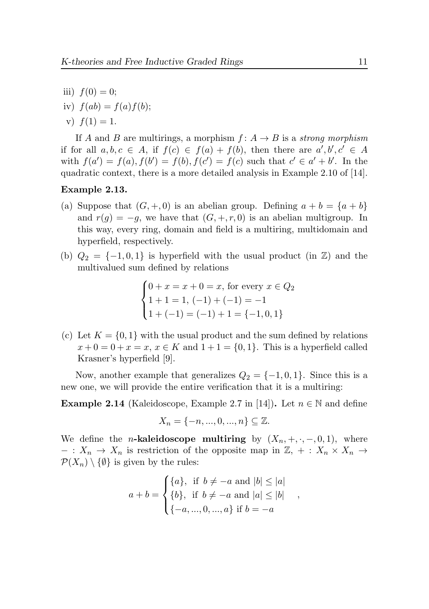- iii)  $f(0) = 0$ ;
- iv)  $f(ab) = f(a) f(b)$ ;

v)  $f(1) = 1$ .

If A and B are multirings, a morphism  $f: A \rightarrow B$  is a strong morphism if for all  $a, b, c \in A$ , if  $f(c) \in f(a) + f(b)$ , then there are  $a', b', c' \in A$ with  $f(a') = f(a), f(b') = f(b), f(c') = f(c)$  such that  $c' \in a' + b'$ . In the quadratic context, there is a more detailed analysis in Example 2.10 of [\[14\]](#page-45-2).

## Example 2.13.

- (a) Suppose that  $(G, +, 0)$  is an abelian group. Defining  $a + b = \{a + b\}$ and  $r(g) = -g$ , we have that  $(G, +, r, 0)$  is an abelian multigroup. In this way, every ring, domain and field is a multiring, multidomain and hyperfield, respectively.
- (b)  $Q_2 = \{-1, 0, 1\}$  is hyperfield with the usual product (in  $\mathbb{Z}$ ) and the multivalued sum defined by relations

$$
\begin{cases}\n0 + x = x + 0 = x, \text{ for every } x \in Q_2 \\
1 + 1 = 1, (-1) + (-1) = -1 \\
1 + (-1) = (-1) + 1 = \{-1, 0, 1\}\n\end{cases}
$$

(c) Let  $K = \{0, 1\}$  with the usual product and the sum defined by relations  $x + 0 = 0 + x = x, x \in K$  and  $1 + 1 = \{0, 1\}$ . This is a hyperfield called Krasner's hyperfield [\[9\]](#page-45-7).

Now, another example that generalizes  $Q_2 = \{-1, 0, 1\}$ . Since this is a new one, we will provide the entire verification that it is a multiring:

**Example 2.14** (Kaleidoscope, Example 2.7 in [\[14\]](#page-45-2)). Let  $n \in \mathbb{N}$  and define

$$
X_n = \{-n, ..., 0, ..., n\} \subseteq \mathbb{Z}.
$$

We define the *n*-kaleidoscope multiring by  $(X_n, +, \cdot, -, 0, 1)$ , where  $- : X_n \to X_n$  is restriction of the opposite map in  $\mathbb{Z}, + : X_n \times X_n \to$  $\mathcal{P}(X_n) \setminus \{\emptyset\}$  is given by the rules:

$$
a + b = \begin{cases} \{a\}, & \text{if } b \neq -a \text{ and } |b| \leq |a| \\ \{b\}, & \text{if } b \neq -a \text{ and } |a| \leq |b| \\ \{-a, ..., 0, ..., a\} & \text{if } b = -a \end{cases},
$$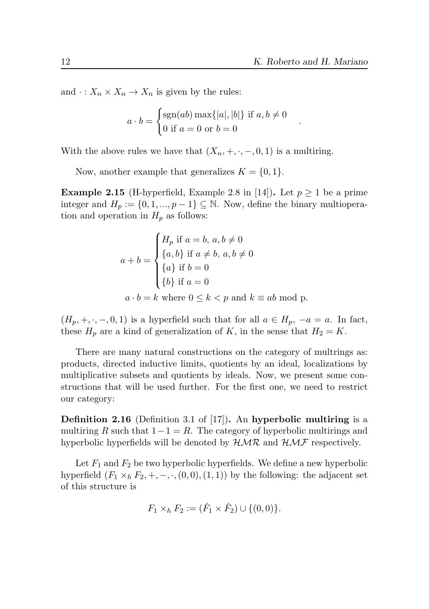.

and  $\cdot : X_n \times X_n \to X_n$  is given by the rules:

$$
a \cdot b = \begin{cases} \text{sgn}(ab) \max\{|a|, |b|\} \text{ if } a, b \neq 0\\ 0 \text{ if } a = 0 \text{ or } b = 0 \end{cases}
$$

With the above rules we have that  $(X_n, +, \cdot, -, 0, 1)$  is a multiring.

Now, another example that generalizes  $K = \{0, 1\}.$ 

<span id="page-11-0"></span>**Example 2.15** (H-hyperfield, Example 2.8 in [\[14\]](#page-45-2)). Let  $p \ge 1$  be a prime integer and  $H_p := \{0, 1, ..., p-1\} \subseteq \mathbb{N}$ . Now, define the binary multioperation and operation in  $H_p$  as follows:

$$
a + b = \begin{cases} H_p \text{ if } a = b, a, b \neq 0 \\ \{a, b\} \text{ if } a \neq b, a, b \neq 0 \\ \{a\} \text{ if } b = 0 \\ \{b\} \text{ if } a = 0 \end{cases}
$$

$$
a \cdot b = k \text{ where } 0 \le k < p \text{ and } k \equiv ab \text{ mod } p.
$$

 $(H_p, +, \cdot, -, 0, 1)$  is a hyperfield such that for all  $a \in H_p$ ,  $-a = a$ . In fact, these  $H_p$  are a kind of generalization of K, in the sense that  $H_2 = K$ .

There are many natural constructions on the category of multrings as: products, directed inductive limits, quotients by an ideal, localizations by multiplicative subsets and quotients by ideals. Now, we present some constructions that will be used further. For the first one, we need to restrict our category:

Definition 2.16 (Definition 3.1 of [\[17\]](#page-45-0)). An hyperbolic multiring is a multiring R such that  $1-1=R$ . The category of hyperbolic multirings and hyperbolic hyperfields will be denoted by  $HMR$  and  $HMF$  respectively.

Let  $F_1$  and  $F_2$  be two hyperbolic hyperfields. We define a new hyperbolic hyperfield  $(F_1 \times_h F_2, +, -, \cdot, (0, 0), (1, 1))$  by the following: the adjacent set of this structure is

$$
F_1 \times_h F_2 := (\dot{F}_1 \times \dot{F}_2) \cup \{(0,0)\}.
$$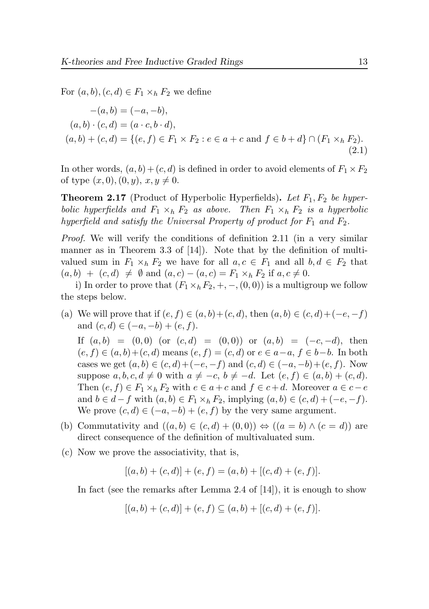For  $(a, b), (c, d) \in F_1 \times_h F_2$  we define

<span id="page-12-0"></span>
$$
-(a,b) = (-a,-b),(a,b) \cdot (c,d) = (a \cdot c,b \cdot d),(a,b) + (c,d) = \{(e,f) \in F_1 \times F_2 : e \in a+c \text{ and } f \in b+d\} \cap (F_1 \times_h F_2).
$$
\n(2.1)

In other words,  $(a, b) + (c, d)$  is defined in order to avoid elements of  $F_1 \times F_2$ of type  $(x, 0), (0, y), x, y \neq 0.$ 

<span id="page-12-1"></span>**Theorem 2.17** (Product of Hyperbolic Hyperfields). Let  $F_1, F_2$  be hyperbolic hyperfields and  $F_1 \times_h F_2$  as above. Then  $F_1 \times_h F_2$  is a hyperbolic hyperfield and satisfy the Universal Property of product for  $F_1$  and  $F_2$ .

Proof. We will verify the conditions of definition [2.11](#page-9-0) (in a very similar manner as in Theorem 3.3 of [\[14\]](#page-45-2)). Note that by the definition of multivalued sum in  $F_1 \times_h F_2$  we have for all  $a, c \in F_1$  and all  $b, d \in F_2$  that  $(a, b) + (c, d) \neq \emptyset$  and  $(a, c) - (a, c) = F_1 \times_h F_2$  if  $a, c \neq 0$ .

i) In order to prove that  $(F_1\times_h F_2, +, -, (0, 0))$  is a multigroup we follow the steps below.

(a) We will prove that if  $(e, f) \in (a, b) + (c, d)$ , then  $(a, b) \in (c, d) + (-e, -f)$ and  $(c, d) \in (-a, -b) + (e, f)$ .

If  $(a, b) = (0, 0)$  (or  $(c, d) = (0, 0)$ ) or  $(a, b) = (-c, -d)$ , then  $(e, f) \in (a, b) + (c, d)$  means  $(e, f) = (c, d)$  or  $e \in a - a, f \in b - b$ . In both cases we get  $(a, b) \in (c, d) + (-e, -f)$  and  $(c, d) \in (-a, -b) + (e, f)$ . Now suppose  $a, b, c, d \neq 0$  with  $a \neq -c, b \neq -d$ . Let  $(e, f) \in (a, b) + (c, d)$ . Then  $(e, f) \in F_1 \times_h F_2$  with  $e \in a + c$  and  $f \in c + d$ . Moreover  $a \in c - e$ and  $b \in d - f$  with  $(a, b) \in F_1 \times_h F_2$ , implying  $(a, b) \in (c, d) + (-e, -f)$ . We prove  $(c, d) \in (-a, -b) + (e, f)$  by the very same argument.

- (b) Commutativity and  $((a, b) \in (c, d) + (0, 0)) \Leftrightarrow ((a = b) \wedge (c = d))$  are direct consequence of the definition of multivaluated sum.
- (c) Now we prove the associativity, that is,

 $[(a, b) + (c, d)] + (e, f) = (a, b) + [(c, d) + (e, f)].$ 

In fact (see the remarks after Lemma 2.4 of [\[14\]](#page-45-2)), it is enough to show

$$
[(a,b)+(c,d)]+(e,f) \subseteq (a,b)+[(c,d)+(e,f)].
$$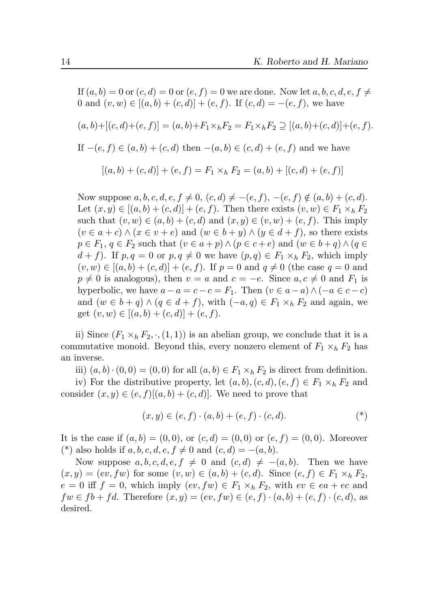If  $(a, b) = 0$  or  $(c, d) = 0$  or  $(e, f) = 0$  we are done. Now let  $a, b, c, d, e, f \neq 0$ 0 and  $(v, w) \in [(a, b) + (c, d)] + (e, f)$ . If  $(c, d) = -(e, f)$ , we have  $(a, b) + [(c, d) + (e, f)] = (a, b) + F_1 \times_b F_2 = F_1 \times_b F_2 \supseteq [(a, b) + (c, d)] + (e, f).$ If  $-(e, f) \in (a, b) + (c, d)$  then  $-(a, b) \in (c, d) + (e, f)$  and we have  $[(a, b) + (c, d)] + (e, f) = F_1 \times_h F_2 = (a, b) + [(c, d) + (e, f)]$ 

Now suppose  $a, b, c, d, e, f \neq 0$ ,  $(c, d) \neq -(e, f), -(e, f) \notin (a, b) + (c, d)$ . Let  $(x, y) \in [(a, b) + (c, d)] + (e, f)$ . Then there exists  $(v, w) \in F_1 \times_h F_2$ such that  $(v, w) \in (a, b) + (c, d)$  and  $(x, y) \in (v, w) + (e, f)$ . This imply  $(v \in a + c) \wedge (x \in v + e)$  and  $(w \in b + y) \wedge (y \in d + f)$ , so there exists  $p \in F_1, q \in F_2$  such that  $(v \in a + p) \wedge (p \in c + e)$  and  $(w \in b + q) \wedge (q \in c)$  $d + f$ ). If  $p, q = 0$  or  $p, q \neq 0$  we have  $(p, q) \in F_1 \times_h F_2$ , which imply  $(v, w) \in [(a, b) + (c, d)] + (e, f)$ . If  $p = 0$  and  $q \neq 0$  (the case  $q = 0$  and  $p \neq 0$  is analogous), then  $v = a$  and  $c = -e$ . Since  $a, c \neq 0$  and  $F_1$  is hyperbolic, we have  $a - a = c - c = F_1$ . Then  $(v \in a - a) \wedge (-a \in c - c)$ and  $(w \in b + q) \wedge (q \in d + f)$ , with  $(-a, q) \in F_1 \times_h F_2$  and again, we get  $(v, w) \in [(a, b) + (c, d)] + (e, f).$ 

ii) Since  $(F_1 \times_h F_2, \cdot, (1, 1))$  is an abelian group, we conclude that it is a commutative monoid. Beyond this, every nonzero element of  $F_1 \times_h F_2$  has an inverse.

iii)  $(a, b) \cdot (0, 0) = (0, 0)$  for all  $(a, b) \in F_1 \times_h F_2$  is direct from definition.

iv) For the distributive property, let  $(a, b), (c, d), (e, f) \in F_1 \times_h F_2$  and consider  $(x, y) \in (e, f)$ [ $(a, b) + (c, d)$ ]. We need to prove that

$$
(x, y) \in (e, f) \cdot (a, b) + (e, f) \cdot (c, d). \tag{*}
$$

It is the case if  $(a, b) = (0, 0)$ , or  $(c, d) = (0, 0)$  or  $(e, f) = (0, 0)$ . Moreover (\*) also holds if  $a, b, c, d, e, f \neq 0$  and  $(c, d) = -(a, b)$ .

Now suppose  $a, b, c, d, e, f \neq 0$  and  $(c, d) \neq -(a, b)$ . Then we have  $(x, y) = (ev, fw)$  for some  $(v, w) \in (a, b) + (c, d)$ . Since  $(e, f) \in F_1 \times_h F_2$ ,  $e = 0$  iff  $f = 0$ , which imply  $(ev, fw) \in F_1 \times_h F_2$ , with  $ev \in ea + ec$  and  $fw \in fb + fd.$  Therefore  $(x, y) = (ev, fw) \in (e, f) \cdot (a, b) + (e, f) \cdot (c, d)$ , as desired.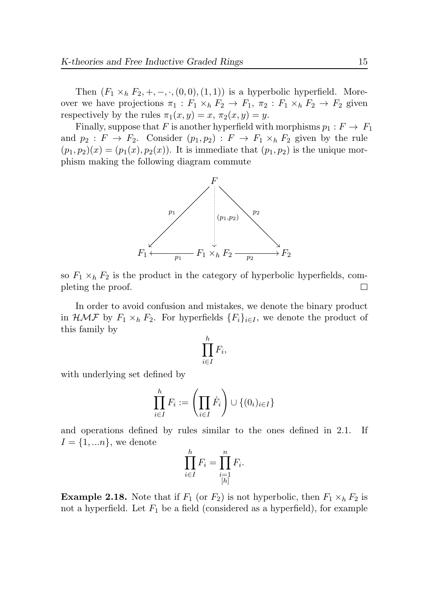Then  $(F_1 \times_h F_2, +, -, \cdot, (0,0), (1,1))$  is a hyperbolic hyperfield. Moreover we have projections  $\pi_1 : F_1 \times_h F_2 \to F_1$ ,  $\pi_2 : F_1 \times_h F_2 \to F_2$  given respectively by the rules  $\pi_1(x, y) = x$ ,  $\pi_2(x, y) = y$ .

Finally, suppose that F is another hyperfield with morphisms  $p_1 : F \to F_1$ and  $p_2 : F \to F_2$ . Consider  $(p_1, p_2) : F \to F_1 \times_h F_2$  given by the rule  $(p_1, p_2)(x) = (p_1(x), p_2(x))$ . It is immediate that  $(p_1, p_2)$  is the unique morphism making the following diagram commute



so  $F_1 \times_h F_2$  is the product in the category of hyperbolic hyperfields, completing the proof.  $\Box$ 

In order to avoid confusion and mistakes, we denote the binary product in  $\mathcal{HMF}$  by  $F_1 \times_h F_2$ . For hyperfields  $\{F_i\}_{i\in I}$ , we denote the product of this family by

$$
\prod_{i\in I}^h F_i,
$$

with underlying set defined by

$$
\prod_{i\in I}^h F_i := \left(\prod_{i\in I} \dot F_i\right) \cup \{(0_i)_{i\in I}\}\
$$

and operations defined by rules similar to the ones defined in [2.1.](#page-12-0) If  $I = \{1, \ldots n\}$ , we denote

$$
\prod_{i\in I}^h F_i = \prod_{\substack{i=1\\[h]}}^n F_i.
$$

**Example 2.18.** Note that if  $F_1$  (or  $F_2$ ) is not hyperbolic, then  $F_1 \times_h F_2$  is not a hyperfield. Let  $F_1$  be a field (considered as a hyperfield), for example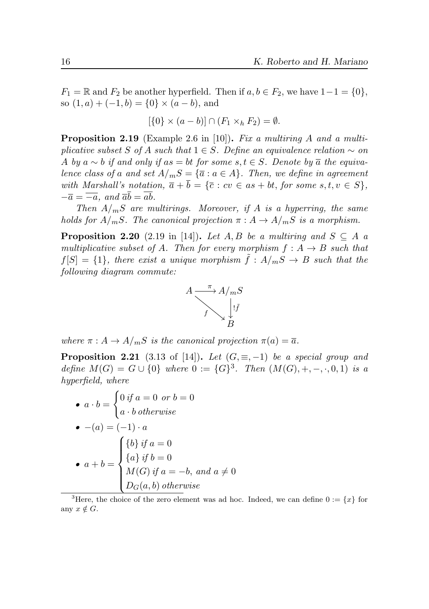$F_1 = \mathbb{R}$  and  $F_2$  be another hyperfield. Then if  $a, b \in F_2$ , we have  $1 - 1 = \{0\},\$ so  $(1, a) + (-1, b) = \{0\} \times (a - b)$ , and

$$
[\{0\} \times (a-b)] \cap (F_1 \times_h F_2) = \emptyset.
$$

**Proposition 2.19** (Example 2.6 in [\[10\]](#page-45-1)). Fix a multiring A and a multiplicative subset S of A such that  $1 \in S$ . Define an equivalence relation  $\sim$  on A by a ∼ b if and only if as = bt for some s,  $t \in S$ . Denote by  $\overline{a}$  the equivalence class of a and set  $A/mS = {\overline{a} : a \in A}.$  Then, we define in agreement with Marshall's notation,  $\overline{a} + \overline{b} = {\overline{c} : cv \in as + bt, for some s, t, v \in S},$  $-\overline{a} = \overline{-a}$ , and  $\overline{a}b = \overline{ab}$ .

Then  $A/mS$  are multirings. Moreover, if A is a hyperring, the same holds for  $A/mS$ . The canonical projection  $\pi : A \to A/mS$  is a morphism.

**Proposition 2.20** (2.19 in [\[14\]](#page-45-2)). Let A, B be a multiring and  $S \subseteq A$  a multiplicative subset of A. Then for every morphism  $f : A \rightarrow B$  such that  $f[S] = \{1\}$ , there exist a unique morphism  $\tilde{f}: A/mS \rightarrow B$  such that the following diagram commute:



where  $\pi: A \to A/mS$  is the canonical projection  $\pi(a) = \overline{a}$ .

**Proposition 2.21** (3.13 of [\[14\]](#page-45-2)). Let  $(G, \equiv, -1)$  be a special group and define  $M(G) = G \cup \{0\}$  where  $0 := \{G\}^3$  $0 := \{G\}^3$ . Then  $(M(G), +, -, \cdot, 0, 1)$  is a hyperfield, where

\n- $$
a \cdot b = \begin{cases} 0 & \text{if } a = 0 \text{ or } b = 0 \\ a \cdot b & \text{otherwise} \end{cases}
$$
\n- $$
- (a) = (-1) \cdot a
$$
\n- $$
a + b = \begin{cases} \n\{b\} & \text{if } a = 0 \\ \n\{a\} & \text{if } b = 0 \\ \nM(G) & \text{if } a = -b, \text{ and } a \neq 0 \\ \nD_G(a, b) & \text{otherwise} \n\end{cases}
$$
\n

<sup>&</sup>lt;sup>3</sup>Here, the choice of the zero element was ad hoc. Indeed, we can define  $0 := \{x\}$  for any  $x \notin G$ .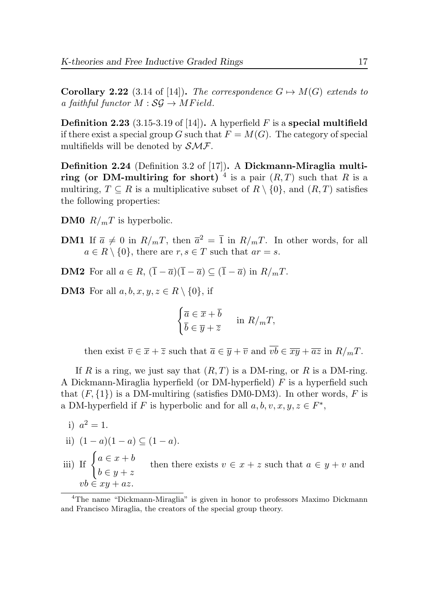**Corollary 2.22** (3.14 of [\[14\]](#page-45-2)). The correspondence  $G \mapsto M(G)$  extends to a faithful functor  $M : \mathcal{SG} \to MField$ .

**Definition 2.23** (3.15-3.19 of [\[14\]](#page-45-2)). A hyperfield F is a special multifield if there exist a special group G such that  $F = M(G)$ . The category of special multifields will be denoted by  $\mathcal{SMF}$ .

Definition 2.24 (Definition 3.2 of [\[17\]](#page-45-0)). A Dickmann-Miraglia multi-ring (or DM-multiring for short) <sup>[4](#page-0-0)</sup> is a pair  $(R, T)$  such that R is a multiring,  $T \subseteq R$  is a multiplicative subset of  $R \setminus \{0\}$ , and  $(R, T)$  satisfies the following properties:

**DM0**  $R/mT$  is hyperbolic.

**DM1** If  $\bar{a} \neq 0$  in  $R/mT$ , then  $\bar{a}^2 = \bar{1}$  in  $R/mT$ . In other words, for all  $a \in R \setminus \{0\}$ , there are  $r, s \in T$  such that  $ar = s$ .

**DM2** For all  $a \in R$ ,  $(\overline{1} - \overline{a})(\overline{1} - \overline{a}) \subset (\overline{1} - \overline{a})$  in  $R/mT$ .

**DM3** For all  $a, b, x, y, z \in R \setminus \{0\}$ , if

$$
\begin{cases} \overline{a} \in \overline{x} + \overline{b} \\ \overline{b} \in \overline{y} + \overline{z} \end{cases} \text{ in } R/mT,
$$

then exist  $\overline{v} \in \overline{x} + \overline{z}$  such that  $\overline{a} \in \overline{y} + \overline{v}$  and  $\overline{vb} \in \overline{xy} + \overline{az}$  in  $R/mT$ .

If R is a ring, we just say that  $(R, T)$  is a DM-ring, or R is a DM-ring. A Dickmann-Miraglia hyperfield (or DM-hyperfield) F is a hyperfield such that  $(F, \{1\})$  is a DM-multiring (satisfies DM0-DM3). In other words, F is a DM-hyperfield if F is hyperbolic and for all  $a, b, v, x, y, z \in F^*$ ,

i) 
$$
a^2 = 1
$$
.

ii) 
$$
(1 - a)(1 - a) \subseteq (1 - a)
$$
.

iii) If  $\begin{cases} a \in x + b \\ 1 \end{cases}$  $b \in y + z$ then there exists  $v \in x + z$  such that  $a \in y + v$  and  $vb \in xy + az.$ 

<sup>4</sup>The name "Dickmann-Miraglia" is given in honor to professors Maximo Dickmann and Francisco Miraglia, the creators of the special group theory.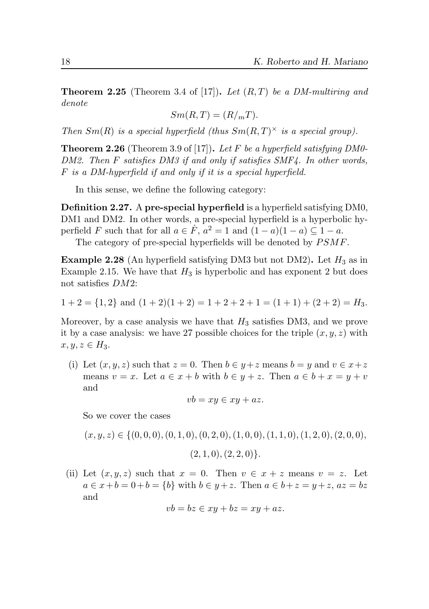**Theorem 2.25** (Theorem 3.4 of [\[17\]](#page-45-0)). Let  $(R, T)$  be a DM-multiring and denote

$$
Sm(R,T) = (R/mT).
$$

Then  $Sm(R)$  is a special hyperfield (thus  $Sm(R, T)^{\times}$  is a special group).

**Theorem 2.26** (Theorem 3.9 of [\[17\]](#page-45-0)). Let F be a hyperfield satisfying DM0-DM2. Then F satisfies DM3 if and only if satisfies SMF4. In other words, F is a DM-hyperfield if and only if it is a special hyperfield.

In this sense, we define the following category:

Definition 2.27. A pre-special hyperfield is a hyperfield satisfying DM0, DM1 and DM2. In other words, a pre-special hyperfield is a hyperbolic hyperfield F such that for all  $a \in \dot{F}$ ,  $a^2 = 1$  and  $(1 - a)(1 - a) \subseteq 1 - a$ .

The category of pre-special hyperfields will be denoted by  $PSMF$ .

<span id="page-17-0"></span>**Example 2.28** (An hyperfield satisfying DM3 but not DM2). Let  $H_3$  as in Example [2.15.](#page-11-0) We have that  $H_3$  is hyperbolic and has exponent 2 but does not satisfies DM2:

$$
1+2 = \{1,2\}
$$
 and  $(1+2)(1+2) = 1+2+2+1 = (1+1)+(2+2) = H_3$ .

Moreover, by a case analysis we have that  $H_3$  satisfies DM3, and we prove it by a case analysis: we have 27 possible choices for the triple  $(x, y, z)$  with  $x, y, z \in H_3$ .

(i) Let  $(x, y, z)$  such that  $z = 0$ . Then  $b \in y + z$  means  $b = y$  and  $v \in x + z$ means  $v = x$ . Let  $a \in x + b$  with  $b \in y + z$ . Then  $a \in b + x = y + v$ and

$$
vb = xy \in xy + az.
$$

So we cover the cases

$$
(x, y, z) \in \{(0, 0, 0), (0, 1, 0), (0, 2, 0), (1, 0, 0), (1, 1, 0), (1, 2, 0), (2, 0, 0),
$$

$$
(2,1,0), (2,2,0)\}.
$$

(ii) Let  $(x, y, z)$  such that  $x = 0$ . Then  $v \in x + z$  means  $v = z$ . Let  $a \in x + b = 0 + b = \{b\}$  with  $b \in y + z$ . Then  $a \in b + z = y + z$ ,  $az = bz$ and

$$
vb = bz \in xy + bz = xy + az.
$$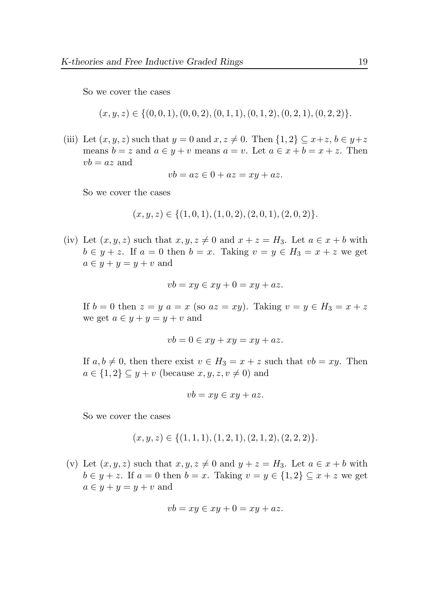So we cover the cases

$$
(x, y, z) \in \{(0, 0, 1), (0, 0, 2), (0, 1, 1), (0, 1, 2), (0, 2, 1), (0, 2, 2)\}.
$$

(iii) Let  $(x, y, z)$  such that  $y = 0$  and  $x, z \neq 0$ . Then  $\{1, 2\} \subseteq x + z, b \in y + z$ means  $b = z$  and  $a \in y + v$  means  $a = v$ . Let  $a \in x + b = x + z$ . Then  $vb = az$  and

$$
vb = az \in 0 + az = xy + az.
$$

So we cover the cases

$$
(x, y, z) \in \{(1, 0, 1), (1, 0, 2), (2, 0, 1), (2, 0, 2)\}.
$$

(iv) Let  $(x, y, z)$  such that  $x, y, z \neq 0$  and  $x + z = H_3$ . Let  $a \in x + b$  with  $b \in y + z$ . If  $a = 0$  then  $b = x$ . Taking  $v = y \in H_3 = x + z$  we get  $a \in y + y = y + v$  and

$$
vb = xy \in xy + 0 = xy + az.
$$

If  $b = 0$  then  $z = y$   $a = x$  (so  $az = xy$ ). Taking  $v = y \in H_3 = x + z$ we get  $a \in y + y = y + v$  and

$$
vb = 0 \in xy + xy = xy + az.
$$

If  $a, b \neq 0$ , then there exist  $v \in H_3 = x + z$  such that  $vb = xy$ . Then  $a \in \{1,2\} \subseteq y+v$  (because  $x, y, z, v \neq 0$ ) and

$$
vb = xy \in xy + az.
$$

So we cover the cases

$$
(x, y, z) \in \{(1, 1, 1), (1, 2, 1), (2, 1, 2), (2, 2, 2)\}.
$$

(v) Let  $(x, y, z)$  such that  $x, y, z \neq 0$  and  $y + z = H_3$ . Let  $a \in x + b$  with  $b \in y + z$ . If  $a = 0$  then  $b = x$ . Taking  $v = y \in \{1,2\} \subseteq x + z$  we get  $a \in y + y = y + v$  and

$$
vb = xy \in xy + 0 = xy + az.
$$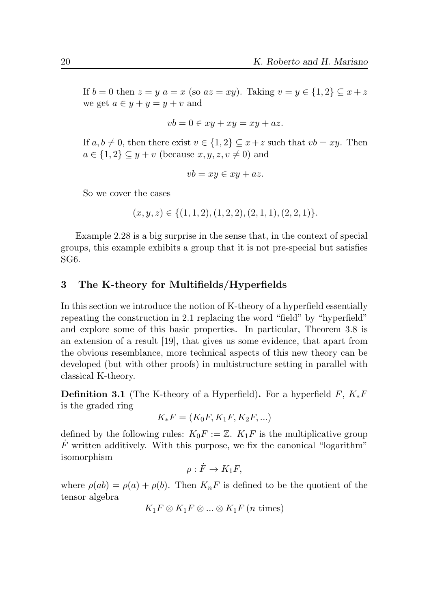If  $b = 0$  then  $z = y$   $a = x$  (so  $az = xy$ ). Taking  $v = y \in \{1,2\} \subseteq x + z$ we get  $a \in y + y = y + v$  and

$$
vb = 0 \in xy + xy = xy + az.
$$

If  $a, b \neq 0$ , then there exist  $v \in \{1,2\} \subseteq x+z$  such that  $vb = xy$ . Then  $a \in \{1,2\} \subseteq y + v$  (because  $x, y, z, v \neq 0$ ) and

$$
vb = xy \in xy + az.
$$

So we cover the cases

$$
(x, y, z) \in \{(1, 1, 2), (1, 2, 2), (2, 1, 1), (2, 2, 1)\}.
$$

Example [2.28](#page-17-0) is a big surprise in the sense that, in the context of special groups, this example exhibits a group that it is not pre-special but satisfies SG6.

# 3 The K-theory for Multifields/Hyperfields

In this section we introduce the notion of K-theory of a hyperfield essentially repeating the construction in [2.1](#page-2-0) replacing the word "field" by "hyperfield" and explore some of this basic properties. In particular, Theorem [3.8](#page-27-0) is an extension of a result [\[19\]](#page-45-8), that gives us some evidence, that apart from the obvious resemblance, more technical aspects of this new theory can be developed (but with other proofs) in multistructure setting in parallel with classical K-theory.

**Definition 3.1** (The K-theory of a Hyperfield). For a hyperfield  $F, K_*F$ is the graded ring

$$
K_*F = (K_0F, K_1F, K_2F, \ldots)
$$

defined by the following rules:  $K_0F := \mathbb{Z}$ .  $K_1F$  is the multiplicative group  $\dot{F}$  written additively. With this purpose, we fix the canonical "logarithm" isomorphism

$$
\rho: \dot{F} \to K_1 F,
$$

where  $\rho(ab) = \rho(a) + \rho(b)$ . Then  $K_nF$  is defined to be the quotient of the tensor algebra

$$
K_1F \otimes K_1F \otimes ... \otimes K_1F \ (n \text{ times})
$$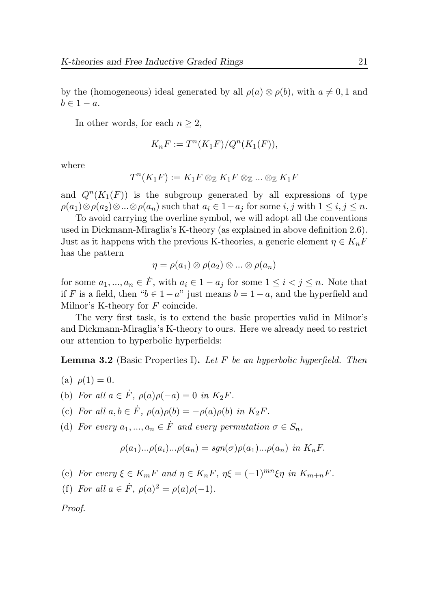by the (homogeneous) ideal generated by all  $\rho(a) \otimes \rho(b)$ , with  $a \neq 0, 1$  and  $b \in 1 - a$ .

In other words, for each  $n \geq 2$ ,

$$
K_nF := T^n(K_1F)/Q^n(K_1(F)),
$$

where

$$
T^n(K_1F) := K_1F \otimes_{\mathbb{Z}} K_1F \otimes_{\mathbb{Z}} ... \otimes_{\mathbb{Z}} K_1F
$$

and  $Q^{n}(K_1(F))$  is the subgroup generated by all expressions of type  $\rho(a_1)\otimes \rho(a_2)\otimes...\otimes \rho(a_n)$  such that  $a_i\in 1-a_j$  for some  $i, j$  with  $1\leq i, j\leq n$ .

To avoid carrying the overline symbol, we will adopt all the conventions used in Dickmann-Miraglia's K-theory (as explained in above definition [2.6\)](#page-6-0). Just as it happens with the previous K-theories, a generic element  $\eta \in K_nF$ has the pattern

$$
\eta = \rho(a_1) \otimes \rho(a_2) \otimes \ldots \otimes \rho(a_n)
$$

for some  $a_1, ..., a_n \in \dot{F}$ , with  $a_i \in 1 - a_j$  for some  $1 \leq i < j \leq n$ . Note that if F is a field, then " $b \in 1 - a$ " just means  $b = 1 - a$ , and the hyperfield and Milnor's K-theory for  $F$  coincide.

The very first task, is to extend the basic properties valid in Milnor's and Dickmann-Miraglia's K-theory to ours. Here we already need to restrict our attention to hyperbolic hyperfields:

**Lemma 3.2** (Basic Properties I). Let F be an hyperbolic hyperfield. Then

- (a)  $\rho(1) = 0$ .
- (b) For all  $a \in \dot{F}$ ,  $\rho(a)\rho(-a) = 0$  in  $K_2F$ .
- (c) For all  $a, b \in \dot{F}$ ,  $\rho(a)\rho(b) = -\rho(a)\rho(b)$  in  $K_2F$ .
- (d) For every  $a_1, ..., a_n \in \dot{F}$  and every permutation  $\sigma \in S_n$ ,

$$
\rho(a_1)...\rho(a_i)...\rho(a_n) = sgn(\sigma)\rho(a_1)...\rho(a_n) \text{ in } K_nF.
$$

- (e) For every  $\xi \in K_mF$  and  $\eta \in K_nF$ ,  $\eta \xi = (-1)^{mn}\xi \eta$  in  $K_{m+n}F$ .
- (f) For all  $a \in \dot{F}$ ,  $\rho(a)^2 = \rho(a)\rho(-1)$ .

Proof.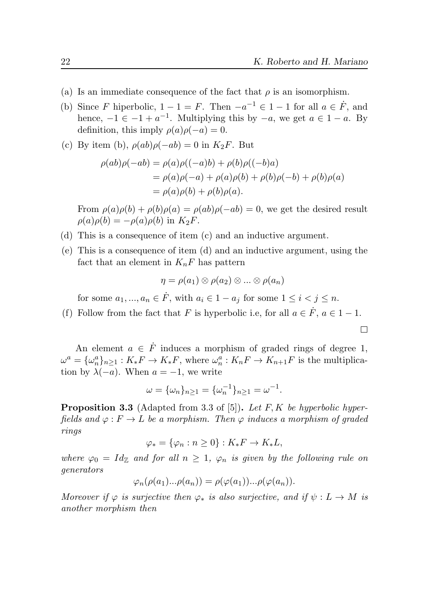$\Box$ 

- (a) Is an immediate consequence of the fact that  $\rho$  is an isomorphism.
- (b) Since F hiperbolic,  $1 1 = F$ . Then  $-a^{-1} \in 1 1$  for all  $a \in \dot{F}$ , and hence,  $-1 \in -1 + a^{-1}$ . Multiplying this by  $-a$ , we get  $a \in 1 - a$ . By definition, this imply  $\rho(a)\rho(-a) = 0$ .
- (c) By item (b),  $\rho(ab)\rho(-ab) = 0$  in  $K_2F$ . But

$$
\rho(ab)\rho(-ab) = \rho(a)\rho((-a)b) + \rho(b)\rho((-b)a)
$$
  
=  $\rho(a)\rho(-a) + \rho(a)\rho(b) + \rho(b)\rho(-b) + \rho(b)\rho(a)$   
=  $\rho(a)\rho(b) + \rho(b)\rho(a)$ .

From  $\rho(a)\rho(b) + \rho(b)\rho(a) = \rho(ab)\rho(-ab) = 0$ , we get the desired result  $\rho(a)\rho(b) = -\rho(a)\rho(b)$  in  $K_2F$ .

- (d) This is a consequence of item (c) and an inductive argument.
- (e) This is a consequence of item (d) and an inductive argument, using the fact that an element in  $K_nF$  has pattern

$$
\eta = \rho(a_1) \otimes \rho(a_2) \otimes \ldots \otimes \rho(a_n)
$$

for some  $a_1, ..., a_n \in \dot{F}$ , with  $a_i \in 1 - a_j$  for some  $1 \leq i < j \leq n$ .

(f) Follow from the fact that F is hyperbolic i.e, for all  $a \in \dot{F}$ ,  $a \in 1-1$ .

An element  $a \in \dot{F}$  induces a morphism of graded rings of degree 1,  $\omega^a = {\{\omega_n^a\}_{n \geq 1}} : K_*F \to K_*F$ , where  $\omega_n^a : K_nF \to K_{n+1}F$  is the multiplication by  $\lambda(-a)$ . When  $a = -1$ , we write

$$
\omega = {\{\omega_n\}}_{n\geq 1} = {\{\omega_n^{-1}\}}_{n\geq 1} = \omega^{-1}.
$$

<span id="page-21-0"></span>**Proposition 3.3** (Adapted from 3.3 of [\[5\]](#page-44-0)). Let F, K be hyperbolic hyperfields and  $\varphi : F \to L$  be a morphism. Then  $\varphi$  induces a morphism of graded rings

$$
\varphi_* = \{\varphi_n : n \ge 0\} : K_*F \to K_*L,
$$

where  $\varphi_0 = Id_{\mathbb{Z}}$  and for all  $n \geq 1$ ,  $\varphi_n$  is given by the following rule on generators

$$
\varphi_n(\rho(a_1)\dots\rho(a_n)) = \rho(\varphi(a_1))\dots\rho(\varphi(a_n)).
$$

Moreover if  $\varphi$  is surjective then  $\varphi_*$  is also surjective, and if  $\psi: L \to M$  is another morphism then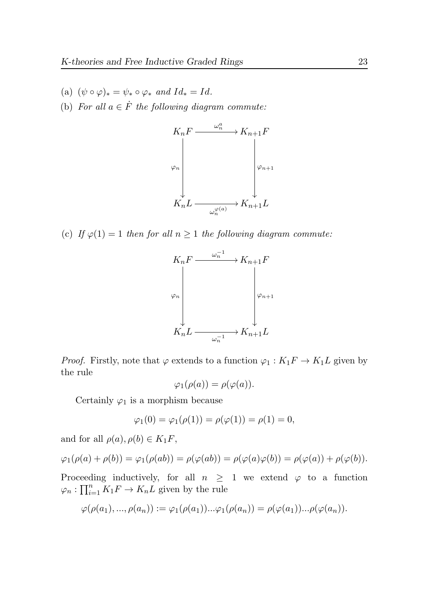- (a)  $(\psi \circ \varphi)_* = \psi_* \circ \varphi_*$  and  $Id_* = Id.$
- (b) For all  $a \in \dot{F}$  the following diagram commute:



(c) If  $\varphi(1) = 1$  then for all  $n \geq 1$  the following diagram commute:



*Proof.* Firstly, note that  $\varphi$  extends to a function  $\varphi_1 : K_1F \to K_1L$  given by the rule

$$
\varphi_1(\rho(a)) = \rho(\varphi(a)).
$$

Certainly  $\varphi_1$  is a morphism because

$$
\varphi_1(0) = \varphi_1(\rho(1)) = \rho(\varphi(1)) = \rho(1) = 0,
$$

and for all  $\rho(a), \rho(b) \in K_1F$ ,

$$
\varphi_1(\rho(a)+\rho(b))=\varphi_1(\rho(ab))=\rho(\varphi(ab))=\rho(\varphi(a)\varphi(b))=\rho(\varphi(a))+\rho(\varphi(b)).
$$

Proceeding inductively, for all  $n \geq 1$  we extend  $\varphi$  to a function  $\varphi_n: \prod_{i=1}^n K_1 F \to K_n L$  given by the rule

$$
\varphi(\rho(a_1),...,\rho(a_n)) := \varphi_1(\rho(a_1))...\varphi_1(\rho(a_n)) = \rho(\varphi(a_1))...\rho(\varphi(a_n)).
$$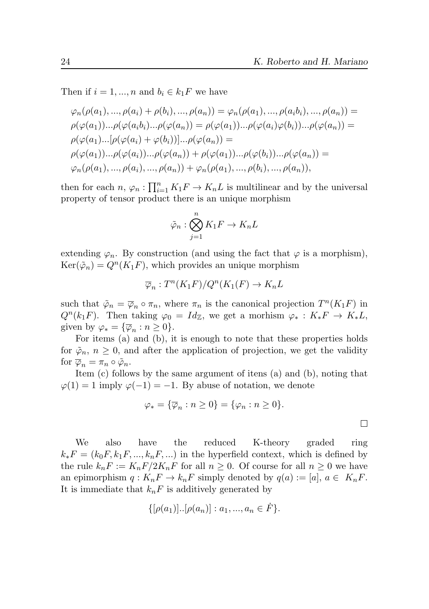$\Box$ 

Then if  $i = 1, ..., n$  and  $b_i \in k_1 F$  we have

$$
\varphi_n(\rho(a_1), ..., \rho(a_i) + \rho(b_i), ..., \rho(a_n)) = \varphi_n(\rho(a_1), ..., \rho(a_ib_i), ..., \rho(a_n)) =
$$
  
\n
$$
\rho(\varphi(a_1))... \rho(\varphi(a_ib_i)... \rho(\varphi(a_n)) = \rho(\varphi(a_1))... \rho(\varphi(a_i)\varphi(b_i)... \rho(\varphi(a_n)) =
$$
  
\n
$$
\rho(\varphi(a_1)...[\rho(\varphi(a_i) + \varphi(b_i))]... \rho(\varphi(a_n)) =
$$
  
\n
$$
\rho(\varphi(a_1))... \rho(\varphi(a_i))... \rho(\varphi(a_n)) + \rho(\varphi(a_1))... \rho(\varphi(b_i))... \rho(\varphi(a_n)) =
$$
  
\n
$$
\varphi_n(\rho(a_1), ..., \rho(a_i), ..., \rho(a_n)) + \varphi_n(\rho(a_1), ..., \rho(b_i), ..., \rho(a_n)),
$$

then for each  $n, \varphi_n : \prod_{i=1}^n K_1 F \to K_n L$  is multilinear and by the universal property of tensor product there is an unique morphism

$$
\tilde{\varphi}_n : \bigotimes_{j=1}^n K_1 F \to K_n L
$$

extending  $\varphi_n$ . By construction (and using the fact that  $\varphi$  is a morphism),  $\text{Ker}(\tilde{\varphi}_n) = Q^n(K_1 F)$ , which provides an unique morphism

$$
\overline{\varphi}_n: T^n(K_1F)/Q^n(K_1(F) \to K_nL)
$$

such that  $\tilde{\varphi}_n = \overline{\varphi}_n \circ \pi_n$ , where  $\pi_n$  is the canonical projection  $T^n(K_1 F)$  in  $Q^{n}(k_1 F)$ . Then taking  $\varphi_0 = Id_{\mathbb{Z}}$ , we get a morhism  $\varphi_* : K_*F \to K_*L$ , given by  $\varphi_* = {\overline{\varphi_n}} : n \ge 0$ .

For items (a) and (b), it is enough to note that these properties holds for  $\tilde{\varphi}_n$ ,  $n \geq 0$ , and after the application of projection, we get the validity for  $\overline{\varphi}_n = \pi_n \circ \tilde{\varphi}_n$ .

Item (c) follows by the same argument of itens (a) and (b), noting that  $\varphi(1) = 1$  imply  $\varphi(-1) = -1$ . By abuse of notation, we denote

$$
\varphi_* = \{\overline{\varphi}_n : n \ge 0\} = \{\varphi_n : n \ge 0\}.
$$

We also have the reduced K-theory graded ring  $k_*F = (k_0F, k_1F, ..., k_nF, ...)$  in the hyperfield context, which is defined by the rule  $k_nF := K_nF/2K_nF$  for all  $n \geq 0$ . Of course for all  $n \geq 0$  we have an epimorphism  $q: K_nF \to k_nF$  simply denoted by  $q(a) := [a], a \in K_nF$ . It is immediate that  $k_nF$  is additively generated by

$$
\{[\rho(a_1)]...[\rho(a_n)] : a_1,...,a_n \in \dot{F}\}.
$$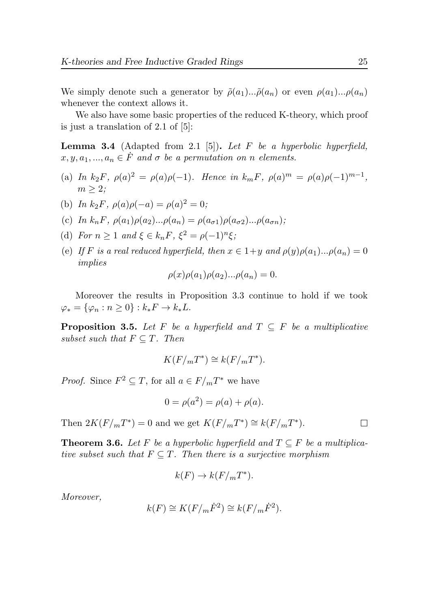We simply denote such a generator by  $\tilde{\rho}(a_1)...\tilde{\rho}(a_n)$  or even  $\rho(a_1)...\rho(a_n)$ whenever the context allows it.

We also have some basic properties of the reduced K-theory, which proof is just a translation of 2.1 of [\[5\]](#page-44-0):

**Lemma 3.4** (Adapted from 2.1 [\[5\]](#page-44-0)). Let F be a hyperbolic hyperfield,  $x, y, a_1, ..., a_n \in \dot{F}$  and  $\sigma$  be a permutation on n elements.

- (a) In  $k_2 F$ ,  $\rho(a)^2 = \rho(a)\rho(-1)$ . Hence in  $k_m F$ ,  $\rho(a)^m = \rho(a)\rho(-1)^{m-1}$ ,  $m \geq 2$ :
- (b) In  $k_2F$ ,  $\rho(a)\rho(-a) = \rho(a)^2 = 0$ ;
- (c) In  $k_nF$ ,  $\rho(a_1)\rho(a_2)... \rho(a_n) = \rho(a_{\sigma 1})\rho(a_{\sigma 2})...\rho(a_{\sigma n});$
- (d) For  $n \geq 1$  and  $\xi \in k_n F$ ,  $\xi^2 = \rho(-1)^n \xi$ ;
- (e) If F is a real reduced hyperfield, then  $x \in 1+y$  and  $\rho(y)\rho(a_1)... \rho(a_n) = 0$ implies

$$
\rho(x)\rho(a_1)\rho(a_2)... \rho(a_n) = 0.
$$

Moreover the results in Proposition [3.3](#page-21-0) continue to hold if we took  $\varphi_* = {\varphi_n : n \geq 0} : k_*F \to k_*L.$ 

**Proposition 3.5.** Let F be a hyperfield and  $T \subseteq F$  be a multiplicative subset such that  $F \subseteq T$ . Then

$$
K(F/mT^*) \cong k(F/mT^*).
$$

*Proof.* Since  $F^2 \subseteq T$ , for all  $a \in F/mT^*$  we have

$$
0 = \rho(a^2) = \rho(a) + \rho(a).
$$

Then  $2K(F/mT^*)=0$  and we get  $K(F/mT^*)\cong k(F/mT^*)$ .

<span id="page-24-0"></span>**Theorem 3.6.** Let F be a hyperbolic hyperfield and  $T \subseteq F$  be a multiplicative subset such that  $F \subseteq T$ . Then there is a surjective morphism

$$
k(F) \to k(F/mT^*).
$$

Moreover,

$$
k(F) \cong K(F/m\dot{F}^2) \cong k(F/m\dot{F}^2).
$$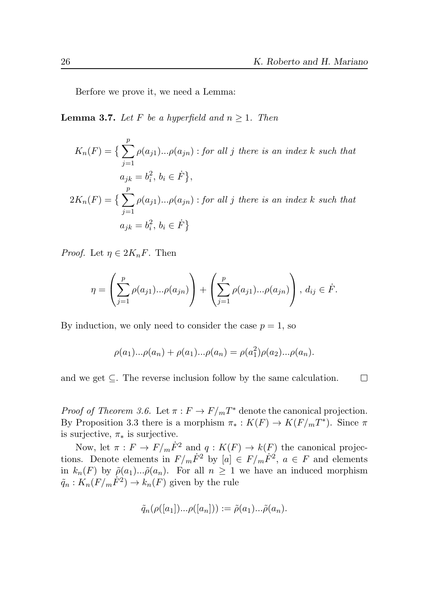Berfore we prove it, we need a Lemma:

<span id="page-25-0"></span>**Lemma 3.7.** Let F be a hyperfield and  $n \geq 1$ . Then

$$
K_n(F) = \left\{ \sum_{j=1}^p \rho(a_{j1})...\rho(a_{jn}) : \text{for all } j \text{ there is an index } k \text{ such that} \right\}
$$

$$
a_{jk} = b_i^2, \, b_i \in \dot{F} \},
$$

$$
2K_n(F) = \left\{ \sum_{j=1}^p \rho(a_{j1})...\rho(a_{jn}) : \text{for all } j \text{ there is an index } k \text{ such that} \right\}
$$

$$
a_{jk} = b_i^2, \, b_i \in \dot{F} \}
$$

*Proof.* Let  $\eta \in 2K_nF$ . Then

$$
\eta = \left(\sum_{j=1}^p \rho(a_{j1})...\rho(a_{jn})\right) + \left(\sum_{j=1}^p \rho(a_{j1})...\rho(a_{jn})\right), d_{ij} \in \dot{F}.
$$

By induction, we only need to consider the case  $p = 1$ , so

$$
\rho(a_1)...\rho(a_n) + \rho(a_1)...\rho(a_n) = \rho(a_1^2)\rho(a_2)...\rho(a_n).
$$

and we get  $\subseteq$ . The reverse inclusion follow by the same calculation.  $\Box$ 

*Proof of Theorem [3.6.](#page-24-0)* Let  $\pi : F \to F/mT^*$  denote the canonical projection. By Proposition [3.3](#page-21-0) there is a morphism  $\pi_*: K(F) \to K(F/mT^*)$ . Since  $\pi$ is surjective,  $\pi_*$  is surjective.

Now, let  $\pi : F \to F/m\dot{F}^2$  and  $q : K(F) \to k(F)$  the canonical projections. Denote elements in  $F/m\dot{F}^2$  by  $[a] \in F/m\dot{F}^2$ ,  $a \in F$  and elements in  $k_n(F)$  by  $\tilde{\rho}(a_1)...\tilde{\rho}(a_n)$ . For all  $n \geq 1$  we have an induced morphism  $\tilde{q}_n: K_n(F/m\dot{F}^2) \to k_n(F)$  given by the rule

$$
\tilde{q}_n(\rho([a_1])...\rho([a_n])) := \tilde{\rho}(a_1)...\tilde{\rho}(a_n).
$$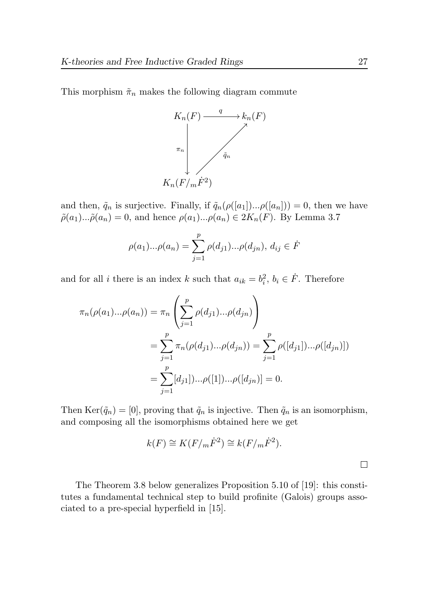This morphism  $\tilde{\pi}_n$  makes the following diagram commute



and then,  $\tilde{q}_n$  is surjective. Finally, if  $\tilde{q}_n(\rho([a_1])... \rho([a_n])) = 0$ , then we have  $\tilde{\rho}(a_1)...\tilde{\rho}(a_n) = 0$ , and hence  $\rho(a_1)...\rho(a_n) \in 2K_n(F)$ . By Lemma [3.7](#page-25-0)

$$
\rho(a_1)...\rho(a_n) = \sum_{j=1}^p \rho(d_{j1})...\rho(d_{jn}), d_{ij} \in \dot{F}
$$

and for all *i* there is an index k such that  $a_{ik} = b_i^2$ ,  $b_i \in \dot{F}$ . Therefore

$$
\pi_n(\rho(a_1)...\rho(a_n)) = \pi_n \left( \sum_{j=1}^p \rho(d_{j1})...\rho(d_{jn}) \right)
$$
  
= 
$$
\sum_{j=1}^p \pi_n(\rho(d_{j1})...\rho(d_{jn})) = \sum_{j=1}^p \rho([d_{j1}])...\rho([d_{jn})])
$$
  
= 
$$
\sum_{j=1}^p [d_{j1}])... \rho([1])...\rho([d_{jn})] = 0.
$$

Then  $\text{Ker}(\tilde{q}_n) = [0]$ , proving that  $\tilde{q}_n$  is injective. Then  $\tilde{q}_n$  is an isomorphism, and composing all the isomorphisms obtained here we get

$$
k(F) \cong K(F/m\dot{F}^2) \cong k(F/m\dot{F}^2).
$$

The Theorem [3.8](#page-27-0) below generalizes Proposition 5.10 of [\[19\]](#page-45-8): this constitutes a fundamental technical step to build profinite (Galois) groups associated to a pre-special hyperfield in [\[15\]](#page-45-9).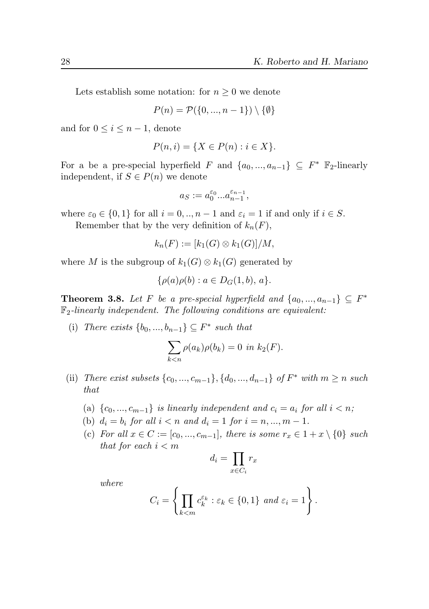Lets establish some notation: for  $n \geq 0$  we denote

$$
P(n) = \mathcal{P}(\{0, ..., n-1\}) \setminus \{\emptyset\}
$$

and for  $0 \leq i \leq n-1$ , denote

$$
P(n, i) = \{ X \in P(n) : i \in X \}.
$$

For a be a pre-special hyperfield F and  $\{a_0, ..., a_{n-1}\} \subseteq F^*$  F<sub>2</sub>-linearly independent, if  $S \in P(n)$  we denote

$$
a_S := a_0^{\varepsilon_0} ... a_{n-1}^{\varepsilon_{n-1}},
$$

where  $\varepsilon_0 \in \{0,1\}$  for all  $i = 0,..,n-1$  and  $\varepsilon_i = 1$  if and only if  $i \in S$ .

Remember that by the very definition of  $k_n(F)$ ,

$$
k_n(F) := [k_1(G) \otimes k_1(G)]/M,
$$

where M is the subgroup of  $k_1(G) \otimes k_1(G)$  generated by

$$
\{\rho(a)\rho(b) : a \in D_G(1,b), a\}.
$$

<span id="page-27-0"></span>**Theorem 3.8.** Let F be a pre-special hyperfield and  $\{a_0, ..., a_{n-1}\} \subseteq F^*$  $\mathbb{F}_2$ -linearly independent. The following conditions are equivalent:

(i) There exists  $\{b_0, ..., b_{n-1}\} \subseteq F^*$  such that

$$
\sum_{k < n} \rho(a_k)\rho(b_k) = 0 \text{ in } k_2(F).
$$

- (ii) There exist subsets  $\{c_0, ..., c_{m-1}\}, \{d_0, ..., d_{n-1}\}$  of  $F^*$  with  $m \ge n$  such that
	- (a)  ${c_0, ..., c_{m-1}}$  is linearly independent and  $c_i = a_i$  for all  $i < n$ ;
	- (b)  $d_i = b_i$  for all  $i < n$  and  $d_i = 1$  for  $i = n, ..., m 1$ .
	- (c) For all  $x \in C := [c_0, ..., c_{m-1}]$ , there is some  $r_x \in 1 + x \setminus \{0\}$  such that for each  $i < m$

$$
d_i = \prod_{x \in C_i} r_x
$$

where

$$
C_i = \left\{ \prod_{k < m} c_k^{\varepsilon_k} : \varepsilon_k \in \{0, 1\} \text{ and } \varepsilon_i = 1 \right\}.
$$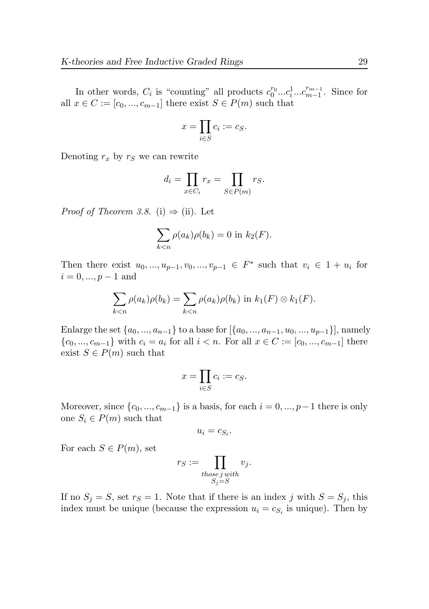In other words,  $C_i$  is "counting" all products  $c_0^{r_0}...c_i^{1}...c_{m-1}^{r_{m-1}}$  $_{m-1}^{r_{m-1}}$ . Since for all  $x \in C := [c_0, ..., c_{m-1}]$  there exist  $S \in P(m)$  such that

$$
x = \prod_{i \in S} c_i := c_S.
$$

Denoting  $r_x$  by  $r_s$  we can rewrite

$$
d_i = \prod_{x \in C_i} r_x = \prod_{S \in P(m)} r_S.
$$

*Proof of Theorem [3.8.](#page-27-0)* (i)  $\Rightarrow$  (ii). Let

$$
\sum_{k < n} \rho(a_k)\rho(b_k) = 0 \text{ in } k_2(F).
$$

Then there exist  $u_0, ..., u_{p-1}, v_0, ..., v_{p-1} \in F^*$  such that  $v_i \in 1 + u_i$  for  $i = 0, ..., p - 1$  and

$$
\sum_{k < n} \rho(a_k)\rho(b_k) = \sum_{k < n} \rho(a_k)\rho(b_k) \text{ in } k_1(F) \otimes k_1(F).
$$

Enlarge the set  $\{a_0, ..., a_{n-1}\}$  to a base for  $[\{a_0, ..., a_{n-1}, u_0, ..., u_{p-1}\}]$ , namely  ${c_0, ..., c_{m-1}}$  with  $c_i = a_i$  for all  $i < n$ . For all  $x \in C := [c_0, ..., c_{m-1}]$  there exist  $S \in P(m)$  such that

$$
x=\prod_{i\in S}c_i:=c_S.
$$

Moreover, since  $\{c_0, ..., c_{m-1}\}\$ is a basis, for each  $i = 0, ..., p-1$  there is only one  $S_i \in P(m)$  such that

$$
u_i = c_{S_i}.
$$

For each  $S \in P(m)$ , set

$$
r_S := \prod_{\substack{those\ j\ with\\S_j = S}} v_j.
$$

If no  $S_j = S$ , set  $r_S = 1$ . Note that if there is an index j with  $S = S_j$ , this index must be unique (because the expression  $u_i = c_{S_i}$  is unique). Then by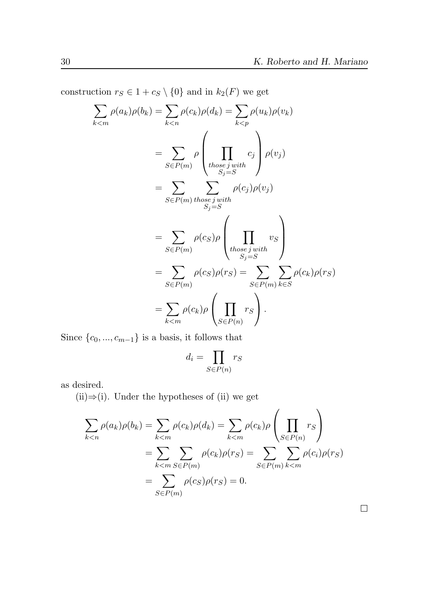construction  $r_S \in 1 + c_S \setminus \{0\}$  and in  $k_2(F)$  we get

$$
\sum_{k < m} \rho(a_k)\rho(b_k) = \sum_{k < n} \rho(c_k)\rho(d_k) = \sum_{k < p} \rho(u_k)\rho(v_k)
$$
\n
$$
= \sum_{S \in P(m)} \rho \left( \prod_{thosej with} c_j \right) \rho(v_j)
$$
\n
$$
= \sum_{S \in P(m)} \sum_{thosej with} \rho(c_j)\rho(v_j)
$$
\n
$$
= \sum_{S \in P(m)} \rho(c_S)\rho \left( \prod_{thosej with} v_S \right)
$$
\n
$$
= \sum_{S \in P(m)} \rho(c_S)\rho(r_S) = \sum_{S \in P(m)} \sum_{k \in S} \rho(c_k)\rho(r_S)
$$
\n
$$
= \sum_{k < m} \rho(c_k)\rho \left( \prod_{S \in P(n)} r_S \right).
$$

Since  $\{c_0, ..., c_{m-1}\}$  is a basis, it follows that

$$
d_i = \prod_{S \in P(n)} r_S
$$

as desired.

(ii)⇒(i). Under the hypotheses of (ii) we get

$$
\sum_{k < n} \rho(a_k)\rho(b_k) = \sum_{k < m} \rho(c_k)\rho(d_k) = \sum_{k < m} \rho(c_k)\rho\left(\prod_{S \in P(n)} r_S\right)
$$
\n
$$
= \sum_{k < m} \sum_{S \in P(m)} \rho(c_k)\rho(r_S) = \sum_{S \in P(m)} \sum_{k < m} \rho(c_i)\rho(r_S)
$$
\n
$$
= \sum_{S \in P(m)} \rho(c_S)\rho(r_S) = 0.
$$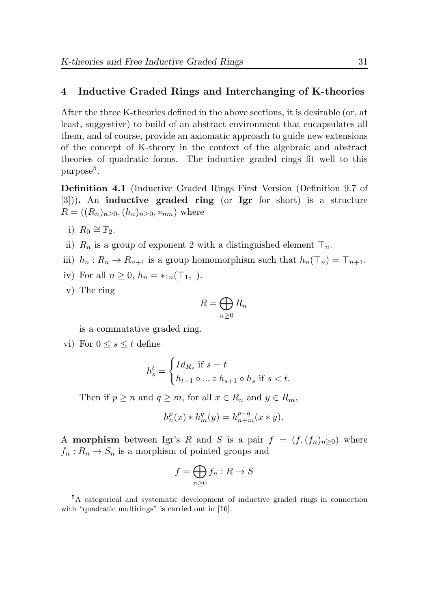# 4 Inductive Graded Rings and Interchanging of K-theories

After the three K-theories defined in the above sections, it is desirable (or, at least, suggestive) to build of an abstract environment that encapsulates all them, and of course, provide an axiomatic approach to guide new extensions of the concept of K-theory in the context of the algebraic and abstract theories of quadratic forms. The inductive graded rings fit well to this  $\rm{purpose}^5.$  $\rm{purpose}^5.$  $\rm{purpose}^5.$ 

<span id="page-30-0"></span>Definition 4.1 (Inductive Graded Rings First Version (Definition 9.7 of [\[3\]](#page-44-2))). An inductive graded ring (or Igr for short) is a structure  $R = ((R_n)_{n \geq 0}, (h_n)_{n \geq 0}, *_{nm})$  where

- i)  $R_0 \cong \mathbb{F}_2$ .
- ii)  $R_n$  is a group of exponent 2 with a distinguished element  $\top_n$ .
- iii)  $h_n: R_n \to R_{n+1}$  is a group homomorphism such that  $h_n(\mathcal{T}_n) = \mathcal{T}_{n+1}$ .
- iv) For all  $n \geq 0$ ,  $h_n = *_{1n}(\top_1, \cdot).$
- v) The ring

$$
R = \bigoplus_{n \ge 0} R_n
$$

is a commutative graded ring.

vi) For  $0 \leq s \leq t$  define

$$
h_s^t = \begin{cases} Id_{R_s} \text{ if } s = t \\ h_{t-1} \circ \dots \circ h_{s+1} \circ h_s \text{ if } s < t. \end{cases}
$$

Then if  $p \ge n$  and  $q \ge m$ , for all  $x \in R_n$  and  $y \in R_m$ ,

$$
h_n^p(x) * h_m^q(y) = h_{n+m}^{p+q}(x * y).
$$

A **morphism** between Igr's R and S is a pair  $f = (f, (f_n)_{n>0})$  where  $f_n: R_n \to S_n$  is a morphism of pointed groups and

$$
f = \bigoplus_{n \ge 0} f_n : R \to S
$$

<sup>5</sup>A categorical and systematic development of inductive graded rings in connection with "quadratic multirings" is carried out in [\[16\]](#page-45-10).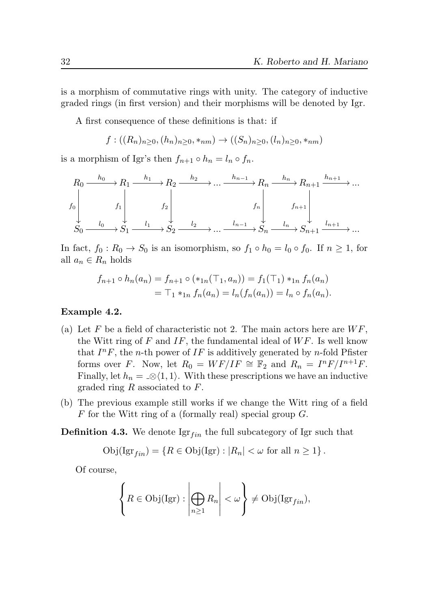is a morphism of commutative rings with unity. The category of inductive graded rings (in first version) and their morphisms will be denoted by Igr.

A first consequence of these definitions is that: if

$$
f: ((R_n)_{n\geq 0}, (h_n)_{n\geq 0}, *_{nm}) \to ((S_n)_{n\geq 0}, (l_n)_{n\geq 0}, *_{nm})
$$

is a morphism of Igr's then  $f_{n+1} \circ h_n = l_n \circ f_n$ .

$$
\begin{array}{ccc}\nR_0 \xrightarrow{h_0} R_1 \xrightarrow{h_1} R_2 \xrightarrow{h_2} \dots \xrightarrow{h_{n-1}} R_n \xrightarrow{h_n} R_{n+1} \xrightarrow{h_{n+1}} \dots \\
f_0 \downarrow & f_1 \downarrow & f_2 \downarrow & f_n \downarrow & f_{n+1} \downarrow \\
S_0 \xrightarrow{l_0} S_1 \xrightarrow{l_1} S_2 \xrightarrow{l_2} \dots \xrightarrow{l_{n-1}} S_n \xrightarrow{l_n} S_{n+1} \xrightarrow{l_{n+1}} \dots\n\end{array}
$$

In fact,  $f_0: R_0 \to S_0$  is an isomorphism, so  $f_1 \circ h_0 = l_0 \circ f_0$ . If  $n \geq 1$ , for all  $a_n \in R_n$  holds

$$
f_{n+1} \circ h_n(a_n) = f_{n+1} \circ (\ast_{1n}(\top_1, a_n)) = f_1(\top_1) \ast_{1n} f_n(a_n)
$$
  
=  $\top_1 \ast_{1n} f_n(a_n) = l_n(f_n(a_n)) = l_n \circ f_n(a_n).$ 

#### <span id="page-31-0"></span>Example 4.2.

- (a) Let F be a field of characteristic not 2. The main actors here are  $WF$ , the Witt ring of  $F$  and  $IF$ , the fundamental ideal of  $WF$ . Is well know that  $I^nF$ , the *n*-th power of  $IF$  is additively generated by *n*-fold Pfister forms over F. Now, let  $R_0 = WF/IF \cong \mathbb{F}_2$  and  $R_n = I^nF/I^{n+1}F$ . Finally, let  $h_n = \mathcal{A}(1,1)$ . With these prescriptions we have an inductive graded ring  $R$  associated to  $F$ .
- (b) The previous example still works if we change the Witt ring of a field  $F$  for the Witt ring of a (formally real) special group  $G$ .

**Definition 4.3.** We denote  $\operatorname{Igr}_{fin}$  the full subcategory of Igr such that

$$
Obj(Igr_{fin}) = \{ R \in Obj(Igr) : |R_n| < \omega \text{ for all } n \geq 1 \}.
$$

Of course,

$$
\left\{ R \in \mathrm{Obj}(\mathrm{Igr}) : \left| \bigoplus_{n \geq 1} R_n \right| < \omega \right\} \neq \mathrm{Obj}(\mathrm{Igr}_{fin}),
$$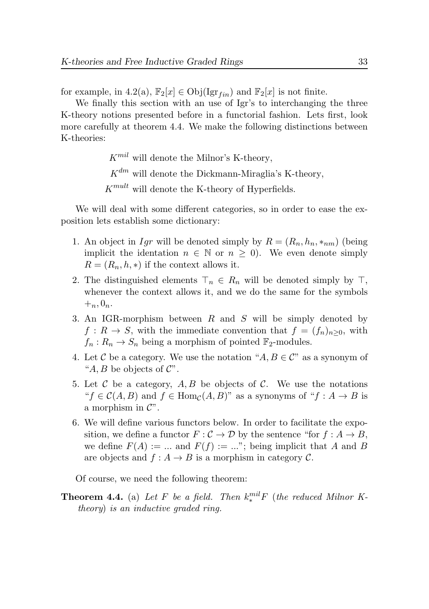for example, in [4.2\(](#page-31-0)a),  $\mathbb{F}_2[x] \in \text{Obj}(\text{Igr}_{fin})$  and  $\mathbb{F}_2[x]$  is not finite.

We finally this section with an use of Igr's to interchanging the three K-theory notions presented before in a functorial fashion. Lets first, look more carefully at theorem [4.4.](#page-32-0) We make the following distinctions between K-theories:

 $K^{mil}$  will denote the Milnor's K-theory,

 $K^{dm}$  will denote the Dickmann-Miraglia's K-theory,

 $K^{mult}$  will denote the K-theory of Hyperfields.

We will deal with some different categories, so in order to ease the exposition lets establish some dictionary:

- 1. An object in Igr will be denoted simply by  $R = (R_n, h_n, *_{nm})$  (being implicit the identation  $n \in \mathbb{N}$  or  $n \geq 0$ ). We even denote simply  $R = (R_n, h, *)$  if the context allows it.
- 2. The distinguished elements  $\top_n \in R_n$  will be denoted simply by  $\top$ , whenever the context allows it, and we do the same for the symbols  $+_{n}$ ,  $0_{n}$ .
- 3. An IGR-morphism between R and S will be simply denoted by  $f: R \to S$ , with the immediate convention that  $f = (f_n)_{n>0}$ , with  $f_n: R_n \to S_n$  being a morphism of pointed  $\mathbb{F}_2$ -modules.
- 4. Let C be a category. We use the notation " $A, B \in \mathcal{C}$ " as a synonym of " $A, B$  be objects of  $\mathcal{C}$ ".
- 5. Let  $\mathcal C$  be a category,  $A, B$  be objects of  $\mathcal C$ . We use the notations " $f \in C(A, B)$  and  $f \in \text{Hom}_{\mathcal{C}}(A, B)$ " as a synonyms of " $f : A \to B$  is a morphism in  $\mathcal{C}$ ".
- 6. We will define various functors below. In order to facilitate the exposition, we define a functor  $F : \mathcal{C} \to \mathcal{D}$  by the sentence "for  $f : A \to B$ , we define  $F(A) := ...$  and  $F(f) := ...$ ; being implicit that A and B are objects and  $f : A \to B$  is a morphism in category C.

Of course, we need the following theorem:

<span id="page-32-0"></span>**Theorem 4.4.** (a) Let F be a field. Then  $k^{mil}_*F$  (the reduced Milnor Ktheory) is an inductive graded ring.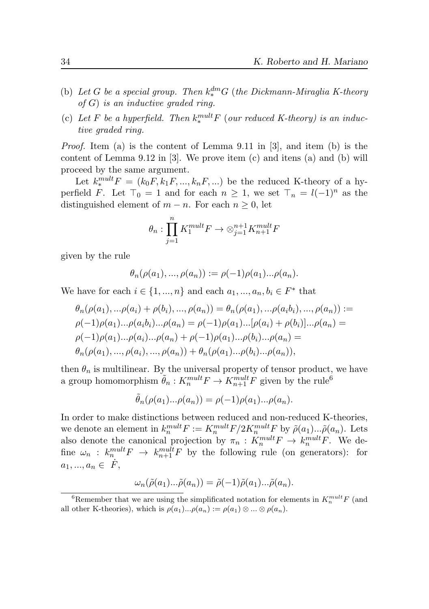- (b) Let G be a special group. Then  $k_*^{dm}$ G (the Dickmann-Miraglia K-theory  $of G$ ) is an inductive graded ring.
- (c) Let F be a hyperfield. Then  $k_*^{mult}F$  (our reduced K-theory) is an inductive graded ring.

*Proof.* Item (a) is the content of Lemma 9.11 in  $[3]$ , and item (b) is the content of Lemma 9.12 in  $[3]$ . We prove item  $(c)$  and itens  $(a)$  and  $(b)$  will proceed by the same argument.

Let  $k_*^{mult}F = (k_0F, k_1F, ..., k_nF, ...)$  be the reduced K-theory of a hyperfield F. Let  $\top_0 = 1$  and for each  $n \geq 1$ , we set  $\top_n = l(-1)^n$  as the distinguished element of  $m - n$ . For each  $n \geq 0$ , let

$$
\theta_n : \prod_{j=1}^n K_1^{mult} F \to \otimes_{j=1}^{n+1} K_{n+1}^{mult} F
$$

given by the rule

$$
\theta_n(\rho(a_1),...,\rho(a_n)) := \rho(-1)\rho(a_1)... \rho(a_n).
$$

We have for each  $i \in \{1, ..., n\}$  and each  $a_1, ..., a_n, b_i \in F^*$  that

$$
\theta_n(\rho(a_1), \ldots, \rho(a_i) + \rho(b_i), \ldots, \rho(a_n)) = \theta_n(\rho(a_1), \ldots, \rho(a_ib_i), \ldots, \rho(a_n)) :=
$$
  
\n
$$
\rho(-1)\rho(a_1) \ldots \rho(a_ib_i) \ldots \rho(a_n) = \rho(-1)\rho(a_1) \ldots [\rho(a_i) + \rho(b_i)] \ldots \rho(a_n) =
$$
  
\n
$$
\rho(-1)\rho(a_1) \ldots \rho(a_i) \ldots \rho(a_n) + \rho(-1)\rho(a_1) \ldots \rho(b_i) \ldots \rho(a_n) =
$$
  
\n
$$
\theta_n(\rho(a_1), \ldots, \rho(a_i), \ldots, \rho(a_n)) + \theta_n(\rho(a_1) \ldots \rho(b_i) \ldots \rho(a_n)),
$$

then  $\theta_n$  is multilinear. By the universal property of tensor product, we have a group homomorphism  $\tilde{\theta}_n : K_n^{mult} F \to K_{n+1}^{mult} F$  given by the rule<sup>[6](#page-0-0)</sup>

$$
\tilde{\theta}_n(\rho(a_1)...\rho(a_n)) = \rho(-1)\rho(a_1)...\rho(a_n).
$$

In order to make distinctions between reduced and non-reduced K-theories, we denote an element in  $k_n^{mult} F := K_n^{mult} F/2K_n^{mult} F$  by  $\tilde{\rho}(a_1)...\tilde{\rho}(a_n)$ . Lets also denote the canonical projection by  $\pi_n: K_n^{mult} F \to k_n^{mult} F$ . We define  $\omega_n : k_n^{mult} F \to k_{n+1}^{mult} F$  by the following rule (on generators): for  $a_1, ..., a_n \in \dot{F},$ 

$$
\omega_n(\tilde{\rho}(a_1)\dots\tilde{\rho}(a_n)) = \tilde{\rho}(-1)\tilde{\rho}(a_1)\dots\tilde{\rho}(a_n).
$$

<sup>&</sup>lt;sup>6</sup>Remember that we are using the simplificated notation for elements in  $K_n^{mult}F$  (and all other K-theories), which is  $\rho(a_1)... \rho(a_n) := \rho(a_1) \otimes ... \otimes \rho(a_n)$ .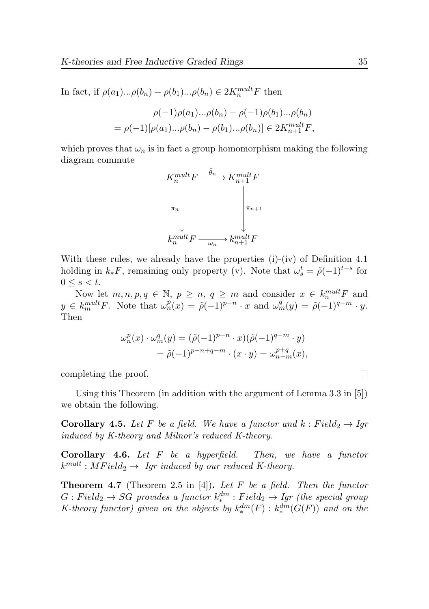In fact, if  $\rho(a_1)...\rho(b_n) - \rho(b_1)...\rho(b_n) \in 2K_n^{mult}F$  then

$$
\rho(-1)\rho(a_1)... \rho(b_n) - \rho(-1)\rho(b_1)... \rho(b_n)
$$
  
=  $\rho(-1)[\rho(a_1)... \rho(b_n) - \rho(b_1)... \rho(b_n)] \in 2K_{n+1}^{mult}F,$ 

which proves that  $\omega_n$  is in fact a group homomorphism making the following diagram commute



With these rules, we already have the properties (i)-(iv) of Definition [4.1](#page-30-0) holding in  $k_* F$ , remaining only property (v). Note that  $\omega_s^t = \tilde{\rho}(-1)^{t-s}$  for  $0 \leq s \leq t$ .

Now let  $m, n, p, q \in \mathbb{N}, p \geq n, q \geq m$  and consider  $x \in k_n^{mult} F$  and  $y \in k_m^{mult} F$ . Note that  $\omega_n^p(x) = \tilde{\rho}(-1)^{p-n} \cdot x$  and  $\omega_m^q(y) = \tilde{\rho}(-1)^{q-m} \cdot y$ . Then

$$
\omega_n^p(x) \cdot \omega_m^q(y) = (\tilde{\rho}(-1)^{p-n} \cdot x)(\tilde{\rho}(-1)^{q-m} \cdot y)
$$
  
= 
$$
\tilde{\rho}(-1)^{p-n+q-m} \cdot (x \cdot y) = \omega_{n-m}^{p+q}(x),
$$

completing the proof.

Using this Theorem (in addition with the argument of Lemma 3.3 in [\[5\]](#page-44-0)) we obtain the following.

<span id="page-34-1"></span>**Corollary 4.5.** Let F be a field. We have a functor and  $k : Field_2 \rightarrow Igr$ induced by K-theory and Milnor's reduced K-theory.

<span id="page-34-2"></span>**Corollary 4.6.** Let  $F$  be a hyperfield. Then, we have a functor  $k^{mult}: MField_2 \rightarrow \; \; \emph{Igr} \; \emph{induced} \; \emph{by} \; \emph{our reduced} \; K\emph{-}theory.$ 

<span id="page-34-0"></span>**Theorem 4.7** (Theorem 2.5 in [\[4\]](#page-44-5)). Let F be a field. Then the functor  $G: Field_2 \rightarrow SG$  provides a functor  $k^{dm}_* : Field_2 \rightarrow Igr$  (the special group K-theory functor) given on the objects by  $k_*^{dm}(F)$  :  $k_*^{dm}(G(F))$  and on the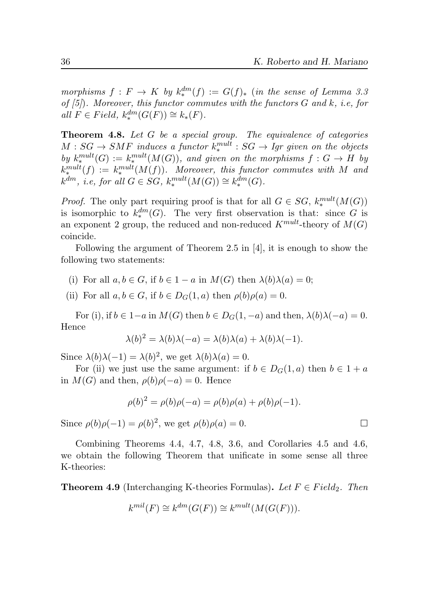morphisms  $f: F \to K$  by  $k_*^{dm}(f) := G(f)_*$  (in the sense of Lemma 3.3 of  $(5)$ . Moreover, this functor commutes with the functors  $G$  and  $k$ , i.e, for all  $F \in Field$ ,  $k_*^{dm}(G(F)) \cong k_*(F)$ .

<span id="page-35-0"></span>**Theorem 4.8.** Let  $G$  be a special group. The equivalence of categories  $M:SG \rightarrow SMF$  induces a functor  $k^{mult}_{*}:SG \rightarrow Igr$  given on the objects by  $k^{mult}_*(G) := k^{mult}_*(M(G))$ , and given on the morphisms  $f: G \to H$  by  $k_*^{mult}(f) := k_*^{mult}(M(f)).$  Moreover, this functor commutes with M and  $k^{dm}$ , *i.e, for all*  $G \in SG$ ,  $k^{mult}_*(M(G)) \cong k^{dm}_*(G)$ .

*Proof.* The only part requiring proof is that for all  $G \in SG$ ,  $k_*^{mult}(M(G))$ is isomorphic to  $k_*^{dm}(G)$ . The very first observation is that: since G is an exponent 2 group, the reduced and non-reduced  $K^{mult}$ -theory of  $M(G)$ coincide.

Following the argument of Theorem 2.5 in [\[4\]](#page-44-5), it is enough to show the following two statements:

- (i) For all  $a, b \in G$ , if  $b \in 1 a$  in  $M(G)$  then  $\lambda(b)\lambda(a) = 0$ ;
- (ii) For all  $a, b \in G$ , if  $b \in D_G(1, a)$  then  $\rho(b)\rho(a) = 0$ .

For (i), if  $b \in 1-a$  in  $M(G)$  then  $b \in D_G(1, -a)$  and then,  $\lambda(b)\lambda(-a) = 0$ . Hence

$$
\lambda(b)^2 = \lambda(b)\lambda(-a) = \lambda(b)\lambda(a) + \lambda(b)\lambda(-1).
$$

Since  $\lambda(b)\lambda(-1) = \lambda(b)^2$ , we get  $\lambda(b)\lambda(a) = 0$ .

For (ii) we just use the same argument: if  $b \in D_G(1, a)$  then  $b \in 1 + a$ in  $M(G)$  and then,  $\rho(b)\rho(-a) = 0$ . Hence

$$
\rho(b)^{2} = \rho(b)\rho(-a) = \rho(b)\rho(a) + \rho(b)\rho(-1).
$$

Since  $\rho(b)\rho(-1) = \rho(b)^2$ , we get  $\rho(b)\rho(a) = 0$ .

Combining Theorems [4.4,](#page-32-0) [4.7,](#page-34-0) [4.8,](#page-35-0) [3.6,](#page-24-0) and Corollaries [4.5](#page-34-1) and [4.6,](#page-34-2) we obtain the following Theorem that unificate in some sense all three K-theories:

<span id="page-35-1"></span>**Theorem 4.9** (Interchanging K-theories Formulas). Let  $F \in Field_2$ . Then

$$
k^{mil}(F) \cong k^{dm}(G(F)) \cong k^{mult}(M(G(F))).
$$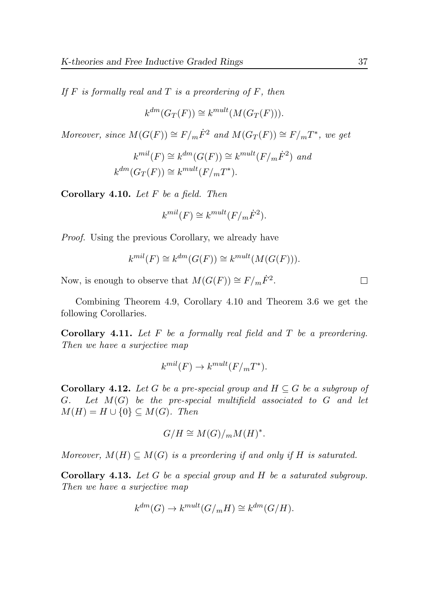If  $F$  is formally real and  $T$  is a preordering of  $F$ , then

$$
k^{dm}(G_T(F)) \cong k^{mult}(M(G_T(F))).
$$

Moreover, since  $M(G(F)) \cong F/m\dot{F}^2$  and  $M(G_T(F)) \cong F/mT^*$ , we get

$$
k^{mil}(F) \cong k^{dm}(G(F)) \cong k^{mult}(F/m\dot{F}^2) \text{ and}
$$
  

$$
k^{dm}(G_T(F)) \cong k^{mult}(F/mT^*).
$$

<span id="page-36-0"></span>**Corollary 4.10.** Let  $F$  be a field. Then

$$
k^{mil}(F) \cong k^{mult}(F/m\dot{F}^2).
$$

Proof. Using the previous Corollary, we already have

$$
k^{mil}(F) \cong k^{dm}(G(F)) \cong k^{mult}(M(G(F))).
$$

Now, is enough to observe that  $M(G(F)) \cong F/m\dot{F}^2$ .

Combining Theorem [4.9,](#page-35-1) Corollary [4.10](#page-36-0) and Theorem [3.6](#page-24-0) we get the following Corollaries.

**Corollary 4.11.** Let  $F$  be a formally real field and  $T$  be a preordering. Then we have a surjective map

$$
k^{mil}(F) \to k^{mult}(F/mT^*).
$$

**Corollary 4.12.** Let G be a pre-special group and  $H \subseteq G$  be a subgroup of  $G.$  Let  $M(G)$  be the pre-special multifield associated to G and let  $M(H) = H \cup \{0\} \subseteq M(G)$ . Then

$$
G/H \cong M(G)/_{m}M(H)^{*}.
$$

Moreover,  $M(H) \subseteq M(G)$  is a preordering if and only if H is saturated.

Corollary 4.13. Let G be a special group and H be a saturated subgroup. Then we have a surjective map

$$
k^{dm}(G) \to k^{mult}(G/mH) \cong k^{dm}(G/H).
$$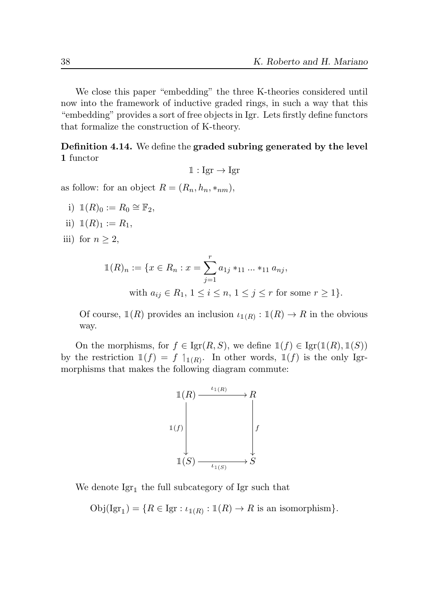We close this paper "embedding" the three K-theories considered until now into the framework of inductive graded rings, in such a way that this "embedding" provides a sort of free objects in Igr. Lets firstly define functors that formalize the construction of K-theory.

Definition 4.14. We define the graded subring generated by the level 1 functor

$$
\mathbb{1}: \mathrm{Igr} \to \mathrm{Igr}
$$

as follow: for an object  $R = (R_n, h_n, *_{nm}),$ 

- i)  $\mathbbm{1}(R)_0 := R_0 \cong \mathbb{F}_2$ ,
- ii)  $\mathbb{1}(R)_1 := R_1$ ,
- iii) for  $n \geq 2$ ,

$$
\mathbb{1}(R)_n := \{ x \in R_n : x = \sum_{j=1}^r a_{1j} *_{11} \dots *_{11} a_{nj},
$$
  
with  $a_{ij} \in R_1, 1 \le i \le n, 1 \le j \le r$  for some  $r \ge 1 \}.$ 

Of course,  $\mathbb{1}(R)$  provides an inclusion  $\iota_{\mathbb{1}(R)} : \mathbb{1}(R) \to R$  in the obvious way.

On the morphisms, for  $f \in \text{Igr}(R, S)$ , we define  $\mathbb{1}(f) \in \text{Igr}(\mathbb{1}(R), \mathbb{1}(S))$ by the restriction  $\mathbb{1}(f) = f \mathbb{1}_{\mathbb{1}(R)}$ . In other words,  $\mathbb{1}(f)$  is the only Igrmorphisms that makes the following diagram commute:



We denote  $\text{Igr}_{\mathbb{I}}$  the full subcategory of Igr such that

<span id="page-37-0"></span> $Obj(Igr_1) = \{R \in Igr : \iota_{1(R)} : 1(R) \to R \text{ is an isomorphism}\}.$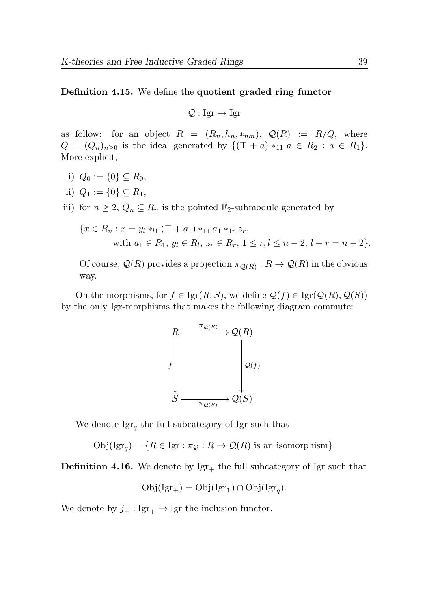#### Definition 4.15. We define the quotient graded ring functor

$$
Q: \text{Igr} \to \text{Igr}
$$

as follow: for an object  $R = (R_n, h_n, *_{nm}), Q(R) := R/Q$ , where  $Q = (Q_n)_{n \geq 0}$  is the ideal generated by  $\{(\top + a) *_{11} a \in R_2 : a \in R_1\}.$ More explicit,

- i)  $Q_0 := \{0\} \subseteq R_0$ ,
- ii)  $Q_1 := \{0\} \subseteq R_1$ ,

iii) for  $n \geq 2$ ,  $Q_n \subseteq R_n$  is the pointed  $\mathbb{F}_2$ -submodule generated by

$$
\{x \in R_n : x = y_l *_{l1} (\top + a_1) *_{11} a_1 *_{1r} z_r,
$$
  
with  $a_1 \in R_1$ ,  $y_l \in R_l$ ,  $z_r \in R_r$ ,  $1 \le r, l \le n - 2, l + r = n - 2\}.$ 

Of course,  $\mathcal{Q}(R)$  provides a projection  $\pi_{\mathcal{Q}(R)} : R \to \mathcal{Q}(R)$  in the obvious way.

On the morphisms, for  $f \in \text{Igr}(R, S)$ , we define  $\mathcal{Q}(f) \in \text{Igr}(\mathcal{Q}(R), \mathcal{Q}(S))$ by the only Igr-morphisms that makes the following diagram commute:



We denote  $\operatorname{Igr}_q$  the full subcategory of Igr such that

 $Obj(\mathrm{Igr}_q) = \{ R \in \mathrm{Igr} : \pi_{\mathcal{Q}} : R \to \mathcal{Q}(R) \text{ is an isomorphism} \}.$ 

**Definition 4.16.** We denote by  $Igr_+$  the full subcategory of Igr such that

$$
Obj(Igr_+) = Obj(Igr_1) \cap Obj(Igr_q).
$$

We denote by  $j_+ : \text{Igr}_+ \to \text{Igr}$  the inclusion functor.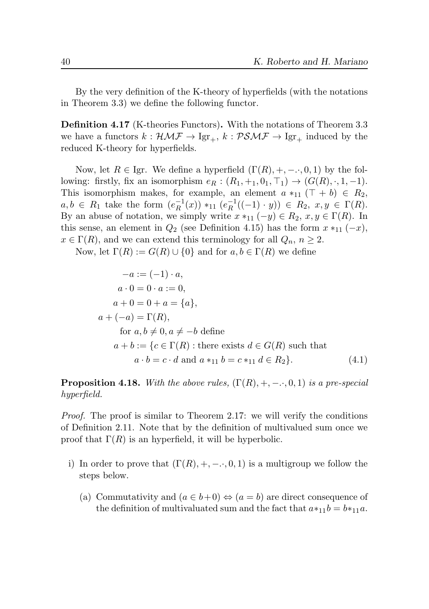By the very definition of the K-theory of hyperfields (with the notations in Theorem [3.3\)](#page-21-0) we define the following functor.

Definition 4.17 (K-theories Functors). With the notations of Theorem [3.3](#page-21-0) we have a functors  $k : \mathcal{HMF} \to \text{Igr}_{+}$ ,  $k : \mathcal{PSMF} \to \text{Igr}_{+}$  induced by the reduced K-theory for hyperfields.

Now, let  $R \in \text{Igr.}$  We define a hyperfield  $(\Gamma(R), +, -, 0, 1)$  by the following: firstly, fix an isomorphism  $e_R : (R_1, +_1, 0_1, \top_1) \rightarrow (G(R), \cdot, 1, -1)$ . This isomorphism makes, for example, an element  $a *_{11} (\top + b) \in R_2$ ,  $a, b \in R_1$  take the form  $(e_R^{-1})$  $^{-1}_R(x)$  \*11  $(e^{-1}_R)$  $_{R}^{-1}((-1) \cdot y)) \in R_2, x, y \in \Gamma(R).$ By an abuse of notation, we simply write  $x *_{11} (-y) \in R_2$ ,  $x, y \in \Gamma(R)$ . In this sense, an element in  $Q_2$  (see Definition [4.15\)](#page-37-0) has the form  $x *_{11} (-x)$ ,  $x \in \Gamma(R)$ , and we can extend this terminology for all  $Q_n$ ,  $n \geq 2$ .

Now, let  $\Gamma(R) := G(R) \cup \{0\}$  and for  $a, b \in \Gamma(R)$  we define

$$
-a := (-1) \cdot a,
$$
  
\n
$$
a \cdot 0 = 0 \cdot a := 0,
$$
  
\n
$$
a + 0 = 0 + a = \{a\},
$$
  
\n
$$
a + (-a) = \Gamma(R),
$$
  
\nfor  $a, b \neq 0, a \neq -b$  define  
\n
$$
a + b := \{c \in \Gamma(R) : \text{there exists } d \in G(R) \text{ such that}
$$
  
\n
$$
a \cdot b = c \cdot d \text{ and } a *_{11} b = c *_{11} d \in R_2\}.
$$
\n(4.1)

<span id="page-39-0"></span>**Proposition 4.18.** With the above rules,  $(\Gamma(R), +, -, 0, 1)$  is a pre-special hyperfield.

Proof. The proof is similar to Theorem [2.17:](#page-12-1) we will verify the conditions of Definition [2.11.](#page-9-0) Note that by the definition of multivalued sum once we proof that  $\Gamma(R)$  is an hyperfield, it will be hyperbolic.

- i) In order to prove that  $(\Gamma(R), +, -, 0, 1)$  is a multigroup we follow the steps below.
	- (a) Commutativity and  $(a \in b+0) \Leftrightarrow (a = b)$  are direct consequence of the definition of multivaluated sum and the fact that  $a*_11b = b*_11a$ .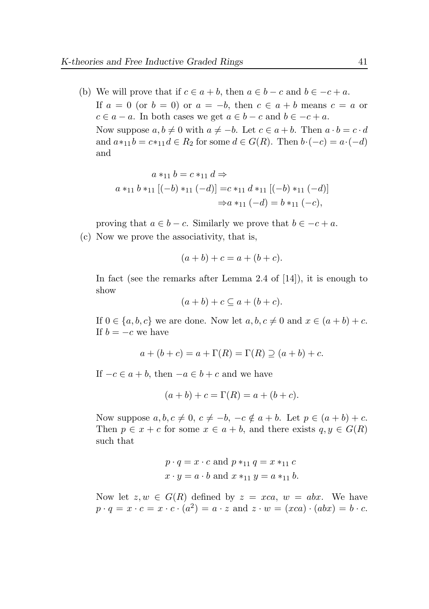(b) We will prove that if  $c \in a + b$ , then  $a \in b - c$  and  $b \in -c + a$ . If  $a = 0$  (or  $b = 0$ ) or  $a = -b$ , then  $c \in a + b$  means  $c = a$  or  $c \in a - a$ . In both cases we get  $a \in b - c$  and  $b \in -c + a$ . Now suppose  $a, b \neq 0$  with  $a \neq -b$ . Let  $c \in a + b$ . Then  $a \cdot b = c \cdot d$ and  $a *_{11} b = c *_{11} d \in R_2$  for some  $d \in G(R)$ . Then  $b \cdot (-c) = a \cdot (-d)$ and

$$
a *_{11} b = c *_{11} d \Rightarrow
$$
  

$$
a *_{11} b *_{11} [(-b) *_{11} (-d)] = c *_{11} d *_{11} [(-b) *_{11} (-d)]
$$
  

$$
\Rightarrow a *_{11} (-d) = b *_{11} (-c),
$$

proving that  $a \in b - c$ . Similarly we prove that  $b \in -c + a$ .

(c) Now we prove the associativity, that is,

$$
(a + b) + c = a + (b + c).
$$

In fact (see the remarks after Lemma 2.4 of [\[14\]](#page-45-2)), it is enough to show

$$
(a+b)+c\subseteq a+(b+c).
$$

If  $0 \in \{a, b, c\}$  we are done. Now let  $a, b, c \neq 0$  and  $x \in (a + b) + c$ . If  $b = -c$  we have

$$
a + (b + c) = a + \Gamma(R) = \Gamma(R) \supseteq (a + b) + c.
$$

If  $-c \in a + b$ , then  $-a \in b + c$  and we have

$$
(a + b) + c = \Gamma(R) = a + (b + c).
$$

Now suppose  $a, b, c \neq 0, c \neq -b, -c \notin a + b$ . Let  $p \in (a + b) + c$ . Then  $p \in x + c$  for some  $x \in a + b$ , and there exists  $q, y \in G(R)$ such that

$$
p \cdot q = x \cdot c
$$
 and 
$$
p *_{11} q = x *_{11} c
$$

$$
x \cdot y = a \cdot b
$$
 and 
$$
x *_{11} y = a *_{11} b
$$
.

Now let  $z, w \in G(R)$  defined by  $z = xca$ ,  $w = abx$ . We have  $p \cdot q = x \cdot c = x \cdot c \cdot (a^2) = a \cdot z$  and  $z \cdot w = (xca) \cdot (abx) = b \cdot c$ .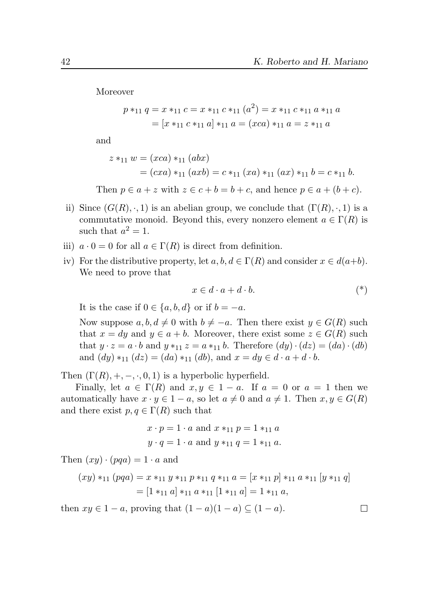Moreover

$$
p *_{11} q = x *_{11} c = x *_{11} c *_{11} (a^2) = x *_{11} c *_{11} a *_{11} a
$$

$$
= [x *_{11} c *_{11} a] *_{11} a = (xca) *_{11} a = z *_{11} a
$$

and

$$
z *_{11} w = (xca) *_{11} (abx)
$$
  
=  $(cxa) *_{11} (axb) = c *_{11} (xa) *_{11} (ax) *_{11} b = c *_{11} b.$ 

Then  $p \in a + z$  with  $z \in c + b = b + c$ , and hence  $p \in a + (b + c)$ .

- ii) Since  $(G(R), ., 1)$  is an abelian group, we conclude that  $(\Gamma(R), ., 1)$  is a commutative monoid. Beyond this, every nonzero element  $a \in \Gamma(R)$  is such that  $a^2 = 1$ .
- iii)  $a \cdot 0 = 0$  for all  $a \in \Gamma(R)$  is direct from definition.
- iv) For the distributive property, let  $a, b, d \in \Gamma(R)$  and consider  $x \in d(a+b)$ . We need to prove that

$$
x \in d \cdot a + d \cdot b. \tag{*}
$$

 $\Box$ 

It is the case if  $0 \in \{a, b, d\}$  or if  $b = -a$ .

Now suppose  $a, b, d \neq 0$  with  $b \neq -a$ . Then there exist  $y \in G(R)$  such that  $x = dy$  and  $y \in a + b$ . Moreover, there exist some  $z \in G(R)$  such that  $y \cdot z = a \cdot b$  and  $y *_{11} z = a *_{11} b$ . Therefore  $(dy) \cdot (dz) = (da) \cdot (db)$ and  $(dy) *_{11} (dz) = (da) *_{11} (db)$ , and  $x = dy \in d \cdot a + d \cdot b$ .

Then  $(\Gamma(R), +, -, \cdot, 0, 1)$  is a hyperbolic hyperfield.

Finally, let  $a \in \Gamma(R)$  and  $x, y \in 1 - a$ . If  $a = 0$  or  $a = 1$  then we automatically have  $x \cdot y \in 1 - a$ , so let  $a \neq 0$  and  $a \neq 1$ . Then  $x, y \in G(R)$ and there exist  $p, q \in \Gamma(R)$  such that

$$
x \cdot p = 1 \cdot a
$$
 and  $x *_{11} p = 1 *_{11} a$   
 $y \cdot q = 1 \cdot a$  and  $y *_{11} q = 1 *_{11} a$ .

Then  $(xy) \cdot (pqa) = 1 \cdot a$  and

$$
(xy) *_{11} (pqa) = x *_{11} y *_{11} p *_{11} q *_{11} a = [x *_{11} p] *_{11} a *_{11} [y *_{11} q]
$$

$$
= [1 *_{11} a] *_{11} a *_{11} [1 *_{11} a] = 1 *_{11} a,
$$

then  $xy \in 1-a$ , proving that  $(1-a)(1-a) \subseteq (1-a)$ .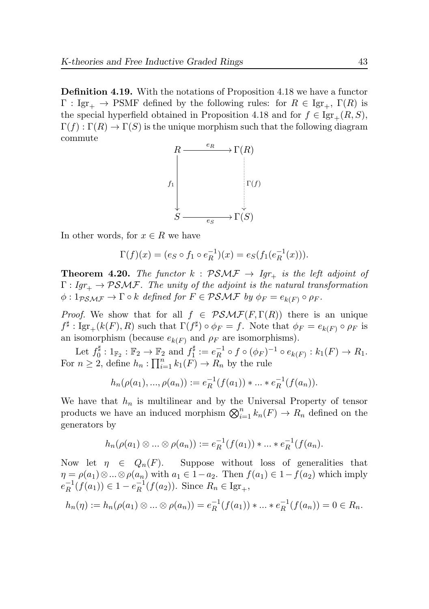Definition 4.19. With the notations of Proposition [4.18](#page-39-0) we have a functor  $\Gamma : \text{Igr}_{+} \to \text{PSMF}$  defined by the following rules: for  $R \in \text{Igr}_{+}$ ,  $\Gamma(R)$  is the special hyperfield obtained in Proposition [4.18](#page-39-0) and for  $f \in \text{Igr}_{+}(R, S)$ ,  $\Gamma(f): \Gamma(R) \to \Gamma(S)$  is the unique morphism such that the following diagram commute



In other words, for  $x \in R$  we have

$$
\Gamma(f)(x) = (e_S \circ f_1 \circ e_R^{-1})(x) = e_S(f_1(e_R^{-1}(x))).
$$

**Theorem 4.20.** The functor  $k : PSMF \rightarrow Igr_{+}$  is the left adjoint of  $\Gamma: Igr_+ \to PSMF$ . The unity of the adjoint is the natural transformation  $\phi: 1_{\mathcal{PSMF}} \to \Gamma \circ k$  defined for  $F \in \mathcal{PSMF}$  by  $\phi_F = e_{k(F)} \circ \rho_F$ .

*Proof.* We show that for all  $f \in PSMF(F,\Gamma(R))$  there is an unique  $f^{\sharp}: \text{Igr}_{+}(k(F), R)$  such that  $\Gamma(f^{\sharp}) \circ \phi_F = f$ . Note that  $\phi_F = e_{k(F)} \circ \rho_F$  is an isomorphism (because  $e_{k(F)}$  and  $\rho_F$  are isomorphisms).

Let  $f_0^{\sharp}$  $j_0^{\sharp}: 1_{\mathbb{F}_2} : \mathbb{F}_2 \to \mathbb{F}_2$  and  $f_1^{\sharp}$  $e_R^{\sharp} := e_R^{-1}$  $R^{-1} \circ f \circ (\phi_F)^{-1} \circ e_{k(F)} : k_1(F) \to R_1.$ For  $n \geq 2$ , define  $h_n: \prod_{i=1}^n k_1(F) \to \overline{R}_n$  by the rule

$$
h_n(\rho(a_1), ..., \rho(a_n)) := e_R^{-1}(f(a_1)) * ... * e_R^{-1}(f(a_n)).
$$

We have that  $h_n$  is multilinear and by the Universal Property of tensor products we have an induced morphism  $\bigotimes_{i=1}^{n} k_n(F) \to R_n$  defined on the generators by

$$
h_n(\rho(a_1) \otimes ... \otimes \rho(a_n)) := e_R^{-1}(f(a_1)) * ... * e_R^{-1}(f(a_n)).
$$

Now let  $\eta \in Q_n(F)$ . Suppose without loss of generalities that  $\eta = \rho(a_1) \otimes \ldots \otimes \rho(a_n)$  with  $a_1 \in 1-a_2$ . Then  $f(a_1) \in 1-f(a_2)$  which imply  $e^{-1}_R$  $_{R}^{-1}(f(a_{1})) \in 1 - e_{R}^{-1}$  $_{R}^{-1}(f(a_2))$ . Since  $R_n \in \text{Igr}_+,$ 

$$
h_n(\eta) := h_n(\rho(a_1) \otimes \ldots \otimes \rho(a_n)) = e_R^{-1}(f(a_1)) * \ldots * e_R^{-1}(f(a_n)) = 0 \in R_n.
$$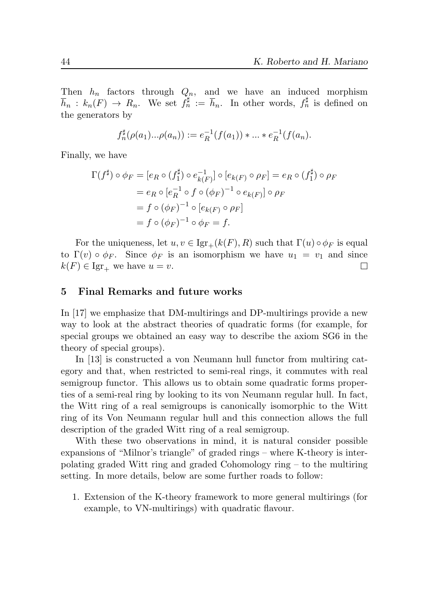Then  $h_n$  factors through  $Q_n$ , and we have an induced morphism  $\overline{h}_n : k_n(F) \to R_n$ . We set  $f_n^{\sharp} := \overline{h}_n$ . In other words,  $f_n^{\sharp}$  is defined on the generators by

$$
f_n^{\sharp}(\rho(a_1)\dots \rho(a_n)) := e_R^{-1}(f(a_1)) * \dots * e_R^{-1}(f(a_n)).
$$

Finally, we have

$$
\Gamma(f^{\sharp}) \circ \phi_F = [e_R \circ (f_1^{\sharp}) \circ e_{k(F)}^{-1}] \circ [e_{k(F)} \circ \rho_F] = e_R \circ (f_1^{\sharp}) \circ \rho_F
$$
  
=  $e_R \circ [e_R^{-1} \circ f \circ (\phi_F)^{-1} \circ e_{k(F)}] \circ \rho_F$   
=  $f \circ (\phi_F)^{-1} \circ [e_{k(F)} \circ \rho_F]$   
=  $f \circ (\phi_F)^{-1} \circ \phi_F = f.$ 

For the uniqueness, let  $u, v \in \text{Igr}_{+}(k(F), R)$  such that  $\Gamma(u) \circ \phi_F$  is equal to  $\Gamma(v) \circ \phi_F$ . Since  $\phi_F$  is an isomorphism we have  $u_1 = v_1$  and since  $k(F) \in \text{Igr}_+$  we have  $u = v$ .  $\Box$ 

#### 5 Final Remarks and future works

In [\[17\]](#page-45-0) we emphasize that DM-multirings and DP-multirings provide a new way to look at the abstract theories of quadratic forms (for example, for special groups we obtained an easy way to describe the axiom SG6 in the theory of special groups).

In [\[13\]](#page-45-11) is constructed a von Neumann hull functor from multiring category and that, when restricted to semi-real rings, it commutes with real semigroup functor. This allows us to obtain some quadratic forms properties of a semi-real ring by looking to its von Neumann regular hull. In fact, the Witt ring of a real semigroups is canonically isomorphic to the Witt ring of its Von Neumann regular hull and this connection allows the full description of the graded Witt ring of a real semigroup.

With these two observations in mind, it is natural consider possible expansions of "Milnor's triangle" of graded rings – where K-theory is interpolating graded Witt ring and graded Cohomology ring – to the multiring setting. In more details, below are some further roads to follow:

1. Extension of the K-theory framework to more general multirings (for example, to VN-multirings) with quadratic flavour.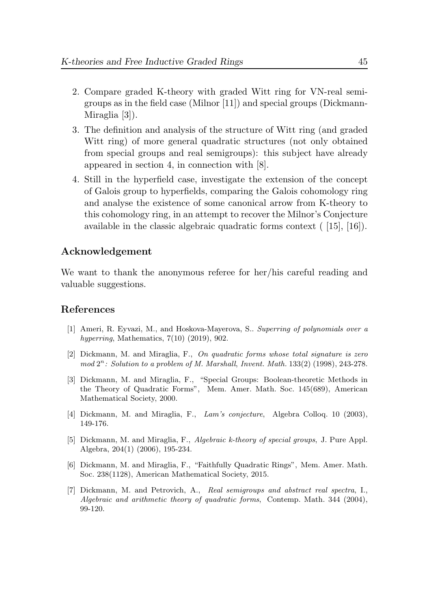- 2. Compare graded K-theory with graded Witt ring for VN-real semigroups as in the field case (Milnor [\[11\]](#page-45-3)) and special groups (Dickmann-Miraglia [\[3\]](#page-44-2)).
- 3. The definition and analysis of the structure of Witt ring (and graded Witt ring) of more general quadratic structures (not only obtained from special groups and real semigroups): this subject have already appeared in section 4, in connection with [\[8\]](#page-45-4).
- 4. Still in the hyperfield case, investigate the extension of the concept of Galois group to hyperfields, comparing the Galois cohomology ring and analyse the existence of some canonical arrow from K-theory to this cohomology ring, in an attempt to recover the Milnor's Conjecture available in the classic algebraic quadratic forms context ( [\[15\]](#page-45-9), [\[16\]](#page-45-10)).

# Acknowledgement

We want to thank the anonymous referee for her/his careful reading and valuable suggestions.

## References

- <span id="page-44-6"></span>[1] Ameri, R. Eyvazi, M., and Hoskova-Mayerova, S.. Superring of polynomials over a hyperring, Mathematics, 7(10) (2019), 902.
- <span id="page-44-1"></span>[2] Dickmann, M. and Miraglia, F., On quadratic forms whose total signature is zero  $mod\ 2^n$ : Solution to a problem of M. Marshall, Invent. Math.  $133(2)$  (1998), 243-278.
- <span id="page-44-2"></span>[3] Dickmann, M. and Miraglia, F., "Special Groups: Boolean-theoretic Methods in the Theory of Quadratic Forms", Mem. Amer. Math. Soc. 145(689), American Mathematical Society, 2000.
- <span id="page-44-5"></span>[4] Dickmann, M. and Miraglia, F., Lam's conjecture, Algebra Colloq. 10 (2003), 149-176.
- <span id="page-44-0"></span>[5] Dickmann, M. and Miraglia, F., Algebraic k-theory of special groups, J. Pure Appl. Algebra, 204(1) (2006), 195-234.
- <span id="page-44-3"></span>[6] Dickmann, M. and Miraglia, F., "Faithfully Quadratic Rings", Mem. Amer. Math. Soc. 238(1128), American Mathematical Society, 2015.
- <span id="page-44-4"></span>[7] Dickmann, M. and Petrovich, A., Real semigroups and abstract real spectra, I., Algebraic and arithmetic theory of quadratic forms, Contemp. Math. 344 (2004), 99-120.